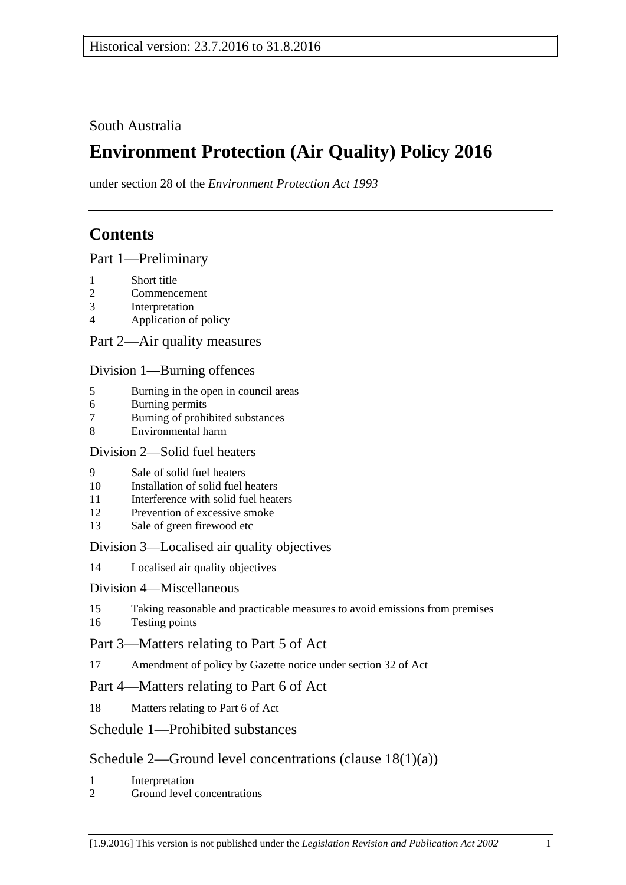South Australia

# **Environment Protection (Air Quality) Policy 2016**

under section 28 of the *Environment Protection Act 1993*

# **Contents**

Part [1—Preliminary](#page-1-0)

- 1 [Short title](#page-1-1)
- 2 [Commencement](#page-1-2)
- 3 [Interpretation](#page-1-3)
- 4 [Application of policy](#page-3-0)

## Part [2—Air quality measures](#page-4-0)

### Division [1—Burning offences](#page-4-1)

- 5 [Burning in the open in council areas](#page-4-2)
- 6 [Burning permits](#page-6-0)
- 7 [Burning of prohibited substances](#page-7-0)
- 8 [Environmental harm](#page-7-1)

#### Division [2—Solid fuel heaters](#page-7-2)

- 9 [Sale of solid fuel heaters](#page-7-3)<br>10 Installation of solid fuel 1
- [Installation of solid fuel heaters](#page-8-0)
- 11 [Interference with solid fuel heaters](#page-8-1)
- 12 [Prevention of excessive smoke](#page-8-2)
- 13 [Sale of green firewood etc](#page-9-0)

## Division [3—Localised air quality objectives](#page-9-1)

14 [Localised air quality objectives](#page-9-2)

#### Division [4—Miscellaneous](#page-10-0)

15 [Taking reasonable and practicable measures to avoid emissions from premises](#page-10-1) 16 [Testing points](#page-10-2)

## Part [3—Matters relating to Part 5 of Act](#page-11-0)

17 [Amendment of policy by Gazette notice under section](#page-11-1) 32 of Act

## Part [4—Matters relating to Part 6 of](#page-12-0) Act

18 [Matters relating to Part 6 of Act](#page-12-1)

## Schedule [1—Prohibited substances](#page-13-0)

- 1 [Interpretation](#page-13-2)
- 2 [Ground level concentrations](#page-13-3)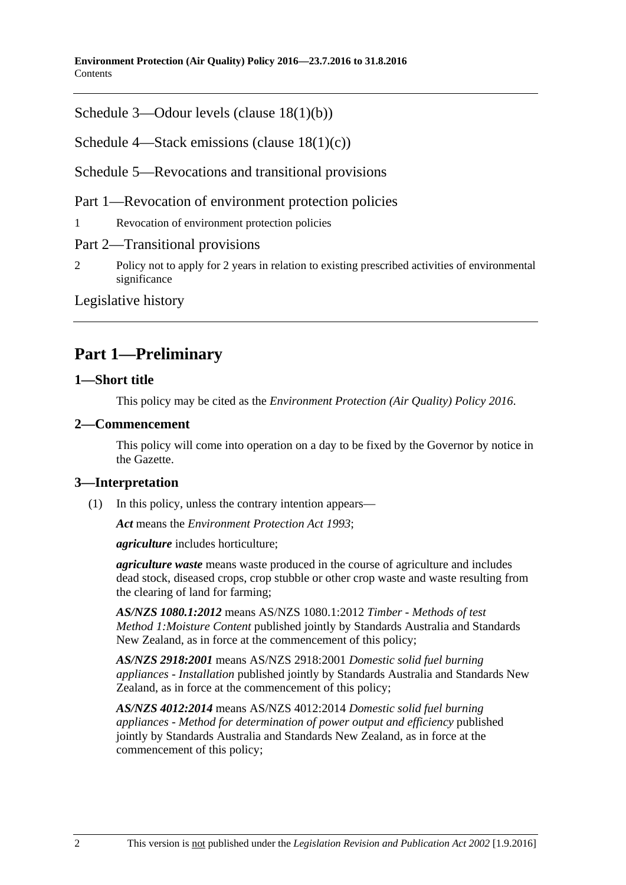**Environment Protection (Air Quality) Policy 2016—23.7.2016 to 31.8.2016 Contents** 

Schedule [3—Odour levels \(clause](#page-20-0) [18\(1\)\(b\)\)](#page-20-0)

Schedule [4—Stack emissions \(clause](#page-21-0) [18\(1\)\(c\)\)](#page-21-0)

Schedule [5—Revocations and transitional provisions](#page-22-0)

Part 1—Revocation of environment protection policies

1 [Revocation of environment protection policies](#page-22-1)

#### Part 2—Transitional provisions

2 [Policy not to apply for 2 years in relation to existing prescribed activities of environmental](#page-23-0)  [significance](#page-23-0)

[Legislative history](#page-24-0)

# <span id="page-1-0"></span>**Part 1—Preliminary**

#### <span id="page-1-1"></span>**1—Short title**

This policy may be cited as the *[Environment Protection \(Air Quality\) Policy](http://www.legislation.sa.gov.au/index.aspx?action=legref&type=subordleg&legtitle=Environment%20Protection%20(Air%20Quality)%20Policy%202016) 2016*.

#### <span id="page-1-2"></span>**2—Commencement**

This policy will come into operation on a day to be fixed by the Governor by notice in the Gazette.

#### <span id="page-1-3"></span>**3—Interpretation**

(1) In this policy, unless the contrary intention appears—

*Act* means the *[Environment Protection Act](http://www.legislation.sa.gov.au/index.aspx?action=legref&type=act&legtitle=Environment%20Protection%20Act%201993) 1993*;

*agriculture* includes horticulture;

*agriculture waste* means waste produced in the course of agriculture and includes dead stock, diseased crops, crop stubble or other crop waste and waste resulting from the clearing of land for farming;

*AS/NZS 1080.1:2012* means AS/NZS 1080.1:2012 *Timber - Methods of test Method 1:Moisture Content* published jointly by Standards Australia and Standards New Zealand, as in force at the commencement of this policy;

*AS/NZS 2918:2001* means AS/NZS 2918:2001 *Domestic solid fuel burning appliances - Installation* published jointly by Standards Australia and Standards New Zealand, as in force at the commencement of this policy;

*AS/NZS 4012:2014* means AS/NZS 4012:2014 *Domestic solid fuel burning appliances - Method for determination of power output and efficiency* published jointly by Standards Australia and Standards New Zealand, as in force at the commencement of this policy;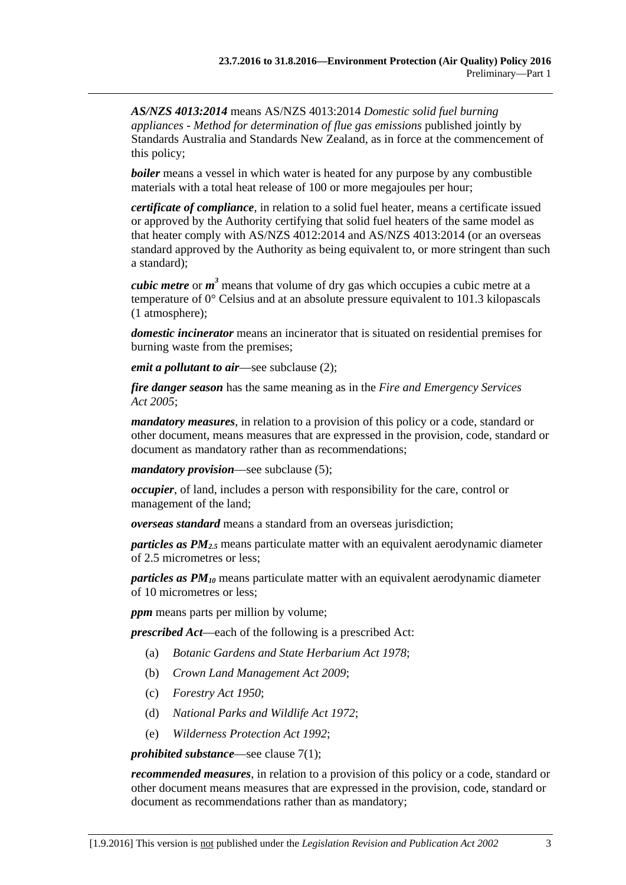*AS/NZS 4013:2014* means AS/NZS 4013:2014 *Domestic solid fuel burning appliances - Method for determination of flue gas emissions* published jointly by Standards Australia and Standards New Zealand, as in force at the commencement of this policy;

*boiler* means a vessel in which water is heated for any purpose by any combustible materials with a total heat release of 100 or more megajoules per hour;

*certificate of compliance*, in relation to a solid fuel heater, means a certificate issued or approved by the Authority certifying that solid fuel heaters of the same model as that heater comply with AS/NZS 4012:2014 and AS/NZS 4013:2014 (or an overseas standard approved by the Authority as being equivalent to, or more stringent than such a standard);

*cubic metre* or *m <sup>3</sup>* means that volume of dry gas which occupies a cubic metre at a temperature of 0° Celsius and at an absolute pressure equivalent to 101.3 kilopascals (1 atmosphere);

*domestic incinerator* means an incinerator that is situated on residential premises for burning waste from the premises;

*emit a pollutant to air*—see [subclause](#page-3-1) (2);

*fire danger season* has the same meaning as in the *[Fire and Emergency Services](http://www.legislation.sa.gov.au/index.aspx?action=legref&type=act&legtitle=Fire%20and%20Emergency%20Services%20Act%202005)  Act [2005](http://www.legislation.sa.gov.au/index.aspx?action=legref&type=act&legtitle=Fire%20and%20Emergency%20Services%20Act%202005)*;

*mandatory measures*, in relation to a provision of this policy or a code, standard or other document, means measures that are expressed in the provision, code, standard or document as mandatory rather than as recommendations;

*mandatory provision*—see [subclause](#page-3-2) (5);

*occupier*, of land, includes a person with responsibility for the care, control or management of the land;

*overseas standard* means a standard from an overseas jurisdiction;

*particles as PM2.5* means particulate matter with an equivalent aerodynamic diameter of 2.5 micrometres or less;

*particles as PM10* means particulate matter with an equivalent aerodynamic diameter of 10 micrometres or less;

*ppm* means parts per million by volume;

*prescribed Act*—each of the following is a prescribed Act:

- (a) *[Botanic Gardens and State Herbarium Act](http://www.legislation.sa.gov.au/index.aspx?action=legref&type=act&legtitle=Botanic%20Gardens%20and%20State%20Herbarium%20Act%201978) 1978*;
- (b) *[Crown Land Management Act](http://www.legislation.sa.gov.au/index.aspx?action=legref&type=act&legtitle=Crown%20Land%20Management%20Act%202009) 2009*;
- (c) *[Forestry Act](http://www.legislation.sa.gov.au/index.aspx?action=legref&type=act&legtitle=Forestry%20Act%201950) 1950*;
- (d) *[National Parks and Wildlife Act](http://www.legislation.sa.gov.au/index.aspx?action=legref&type=act&legtitle=National%20Parks%20and%20Wildlife%20Act%201972) 1972*;
- (e) *[Wilderness Protection Act](http://www.legislation.sa.gov.au/index.aspx?action=legref&type=act&legtitle=Wilderness%20Protection%20Act%201992) 1992*;

#### *prohibited substance*—see [clause](#page-7-4) 7(1);

*recommended measures*, in relation to a provision of this policy or a code, standard or other document means measures that are expressed in the provision, code, standard or document as recommendations rather than as mandatory;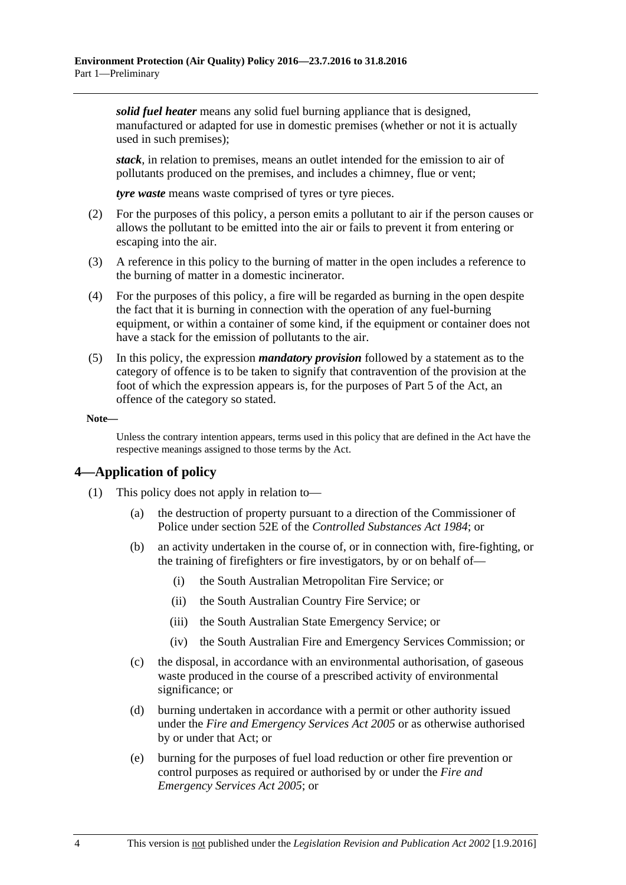*solid fuel heater* means any solid fuel burning appliance that is designed, manufactured or adapted for use in domestic premises (whether or not it is actually used in such premises);

*stack*, in relation to premises, means an outlet intended for the emission to air of pollutants produced on the premises, and includes a chimney, flue or vent;

*tyre waste* means waste comprised of tyres or tyre pieces.

- <span id="page-3-1"></span>(2) For the purposes of this policy, a person emits a pollutant to air if the person causes or allows the pollutant to be emitted into the air or fails to prevent it from entering or escaping into the air.
- (3) A reference in this policy to the burning of matter in the open includes a reference to the burning of matter in a domestic incinerator.
- (4) For the purposes of this policy, a fire will be regarded as burning in the open despite the fact that it is burning in connection with the operation of any fuel-burning equipment, or within a container of some kind, if the equipment or container does not have a stack for the emission of pollutants to the air.
- <span id="page-3-2"></span>(5) In this policy, the expression *mandatory provision* followed by a statement as to the category of offence is to be taken to signify that contravention of the provision at the foot of which the expression appears is, for the purposes of Part 5 of the Act, an offence of the category so stated.

**Note—**

Unless the contrary intention appears, terms used in this policy that are defined in the Act have the respective meanings assigned to those terms by the Act.

#### <span id="page-3-0"></span>**4—Application of policy**

- (1) This policy does not apply in relation to—
	- (a) the destruction of property pursuant to a direction of the Commissioner of Police under section 52E of the *[Controlled Substances Act](http://www.legislation.sa.gov.au/index.aspx?action=legref&type=act&legtitle=Controlled%20Substances%20Act%201984) 1984*; or
	- (b) an activity undertaken in the course of, or in connection with, fire-fighting, or the training of firefighters or fire investigators, by or on behalf of—
		- (i) the South Australian Metropolitan Fire Service; or
		- (ii) the South Australian Country Fire Service; or
		- (iii) the South Australian State Emergency Service; or
		- (iv) the South Australian Fire and Emergency Services Commission; or
	- (c) the disposal, in accordance with an environmental authorisation, of gaseous waste produced in the course of a prescribed activity of environmental significance; or
	- (d) burning undertaken in accordance with a permit or other authority issued under the *[Fire and Emergency Services Act](http://www.legislation.sa.gov.au/index.aspx?action=legref&type=act&legtitle=Fire%20and%20Emergency%20Services%20Act%202005) 2005* or as otherwise authorised by or under that Act; or
	- (e) burning for the purposes of fuel load reduction or other fire prevention or control purposes as required or authorised by or under the *[Fire and](http://www.legislation.sa.gov.au/index.aspx?action=legref&type=act&legtitle=Fire%20and%20Emergency%20Services%20Act%202005)  [Emergency Services Act](http://www.legislation.sa.gov.au/index.aspx?action=legref&type=act&legtitle=Fire%20and%20Emergency%20Services%20Act%202005) 2005*; or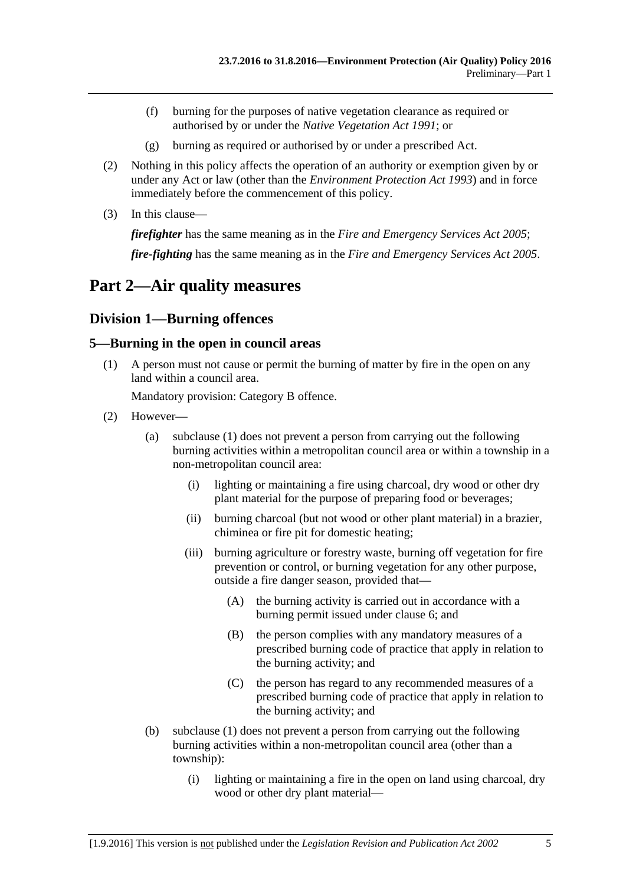- (f) burning for the purposes of native vegetation clearance as required or authorised by or under the *[Native Vegetation Act](http://www.legislation.sa.gov.au/index.aspx?action=legref&type=act&legtitle=Native%20Vegetation%20Act%201991) 1991*; or
- (g) burning as required or authorised by or under a prescribed Act.
- (2) Nothing in this policy affects the operation of an authority or exemption given by or under any Act or law (other than the *[Environment Protection Act](http://www.legislation.sa.gov.au/index.aspx?action=legref&type=act&legtitle=Environment%20Protection%20Act%201993) 1993*) and in force immediately before the commencement of this policy.
- (3) In this clause—

*firefighter* has the same meaning as in the *[Fire and Emergency Services Act](http://www.legislation.sa.gov.au/index.aspx?action=legref&type=act&legtitle=Fire%20and%20Emergency%20Services%20Act%202005) 2005*;

*fire-fighting* has the same meaning as in the *[Fire and Emergency Services Act](http://www.legislation.sa.gov.au/index.aspx?action=legref&type=act&legtitle=Fire%20and%20Emergency%20Services%20Act%202005) 2005*.

## <span id="page-4-0"></span>**Part 2—Air quality measures**

## <span id="page-4-1"></span>**Division 1—Burning offences**

### <span id="page-4-3"></span><span id="page-4-2"></span>**5—Burning in the open in council areas**

(1) A person must not cause or permit the burning of matter by fire in the open on any land within a council area.

Mandatory provision: Category B offence.

- <span id="page-4-5"></span><span id="page-4-4"></span>(2) However—
	- (a) [subclause](#page-4-3) (1) does not prevent a person from carrying out the following burning activities within a metropolitan council area or within a township in a non-metropolitan council area:
		- (i) lighting or maintaining a fire using charcoal, dry wood or other dry plant material for the purpose of preparing food or beverages;
		- (ii) burning charcoal (but not wood or other plant material) in a brazier, chiminea or fire pit for domestic heating;
		- (iii) burning agriculture or forestry waste, burning off vegetation for fire prevention or control, or burning vegetation for any other purpose, outside a fire danger season, provided that—
			- (A) the burning activity is carried out in accordance with a burning permit issued under [clause](#page-6-0) 6; and
			- (B) the person complies with any mandatory measures of a prescribed burning code of practice that apply in relation to the burning activity; and
			- (C) the person has regard to any recommended measures of a prescribed burning code of practice that apply in relation to the burning activity; and
	- (b) [subclause](#page-4-3) (1) does not prevent a person from carrying out the following burning activities within a non-metropolitan council area (other than a township):
		- (i) lighting or maintaining a fire in the open on land using charcoal, dry wood or other dry plant material—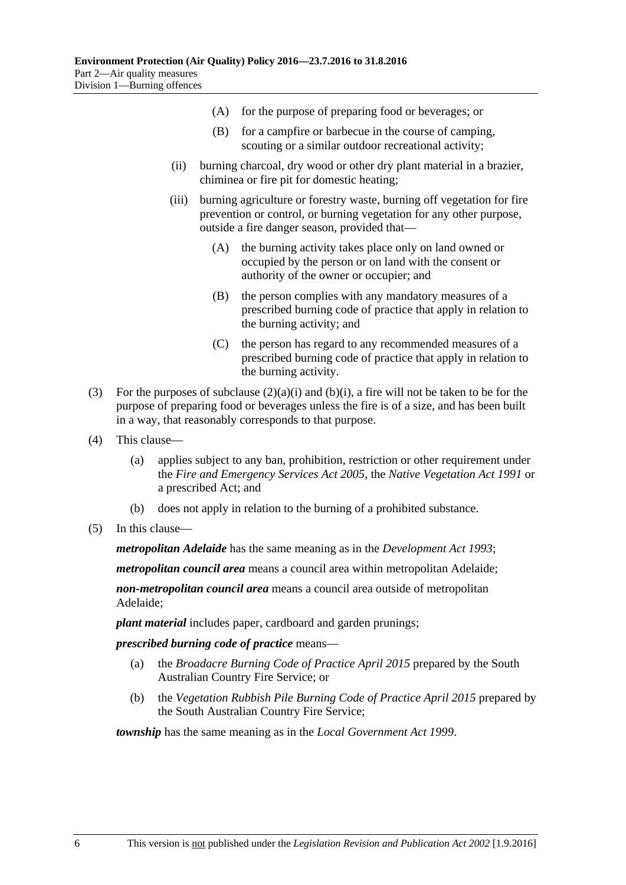- (A) for the purpose of preparing food or beverages; or
- (B) for a campfire or barbecue in the course of camping, scouting or a similar outdoor recreational activity;
- (ii) burning charcoal, dry wood or other dry plant material in a brazier, chiminea or fire pit for domestic heating;
- (iii) burning agriculture or forestry waste, burning off vegetation for fire prevention or control, or burning vegetation for any other purpose, outside a fire danger season, provided that—
	- (A) the burning activity takes place only on land owned or occupied by the person or on land with the consent or authority of the owner or occupier; and
	- (B) the person complies with any mandatory measures of a prescribed burning code of practice that apply in relation to the burning activity; and
	- (C) the person has regard to any recommended measures of a prescribed burning code of practice that apply in relation to the burning activity.
- (3) For the purposes of [subclause](#page-4-4)  $(2)(a)(i)$  and  $(b)(i)$ , a fire will not be taken to be for the purpose of preparing food or beverages unless the fire is of a size, and has been built in a way, that reasonably corresponds to that purpose.
- (4) This clause—
	- (a) applies subject to any ban, prohibition, restriction or other requirement under the *[Fire and Emergency Services Act](http://www.legislation.sa.gov.au/index.aspx?action=legref&type=act&legtitle=Fire%20and%20Emergency%20Services%20Act%202005) 2005*, the *[Native Vegetation Act](http://www.legislation.sa.gov.au/index.aspx?action=legref&type=act&legtitle=Native%20Vegetation%20Act%201991) 1991* or a prescribed Act; and
	- (b) does not apply in relation to the burning of a prohibited substance.
- (5) In this clause—

*metropolitan Adelaide* has the same meaning as in the *[Development Act](http://www.legislation.sa.gov.au/index.aspx?action=legref&type=act&legtitle=Development%20Act%201993) 1993*;

*metropolitan council area* means a council area within metropolitan Adelaide;

*non-metropolitan council area* means a council area outside of metropolitan Adelaide;

*plant material* includes paper, cardboard and garden prunings;

*prescribed burning code of practice* means—

- (a) the *Broadacre Burning Code of Practice April 2015* prepared by the South Australian Country Fire Service; or
- (b) the *Vegetation Rubbish Pile Burning Code of Practice April 2015* prepared by the South Australian Country Fire Service;

*township* has the same meaning as in the *[Local Government Act](http://www.legislation.sa.gov.au/index.aspx?action=legref&type=act&legtitle=Local%20Government%20Act%201999) 1999*.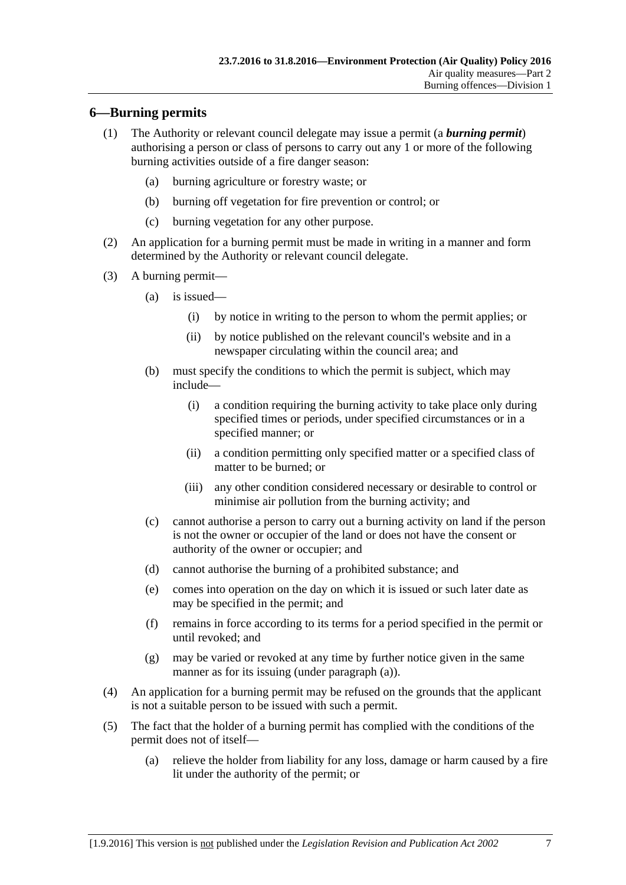### <span id="page-6-0"></span>**6—Burning permits**

- (1) The Authority or relevant council delegate may issue a permit (a *burning permit*) authorising a person or class of persons to carry out any 1 or more of the following burning activities outside of a fire danger season:
	- (a) burning agriculture or forestry waste; or
	- (b) burning off vegetation for fire prevention or control; or
	- (c) burning vegetation for any other purpose.
- (2) An application for a burning permit must be made in writing in a manner and form determined by the Authority or relevant council delegate.
- <span id="page-6-1"></span>(3) A burning permit—
	- (a) is issued—
		- (i) by notice in writing to the person to whom the permit applies; or
		- (ii) by notice published on the relevant council's website and in a newspaper circulating within the council area; and
	- (b) must specify the conditions to which the permit is subject, which may include—
		- (i) a condition requiring the burning activity to take place only during specified times or periods, under specified circumstances or in a specified manner; or
		- (ii) a condition permitting only specified matter or a specified class of matter to be burned; or
		- (iii) any other condition considered necessary or desirable to control or minimise air pollution from the burning activity; and
	- (c) cannot authorise a person to carry out a burning activity on land if the person is not the owner or occupier of the land or does not have the consent or authority of the owner or occupier; and
	- (d) cannot authorise the burning of a prohibited substance; and
	- (e) comes into operation on the day on which it is issued or such later date as may be specified in the permit; and
	- (f) remains in force according to its terms for a period specified in the permit or until revoked; and
	- (g) may be varied or revoked at any time by further notice given in the same manner as for its issuing (under [paragraph](#page-6-1) (a)).
- (4) An application for a burning permit may be refused on the grounds that the applicant is not a suitable person to be issued with such a permit.
- (5) The fact that the holder of a burning permit has complied with the conditions of the permit does not of itself—
	- (a) relieve the holder from liability for any loss, damage or harm caused by a fire lit under the authority of the permit; or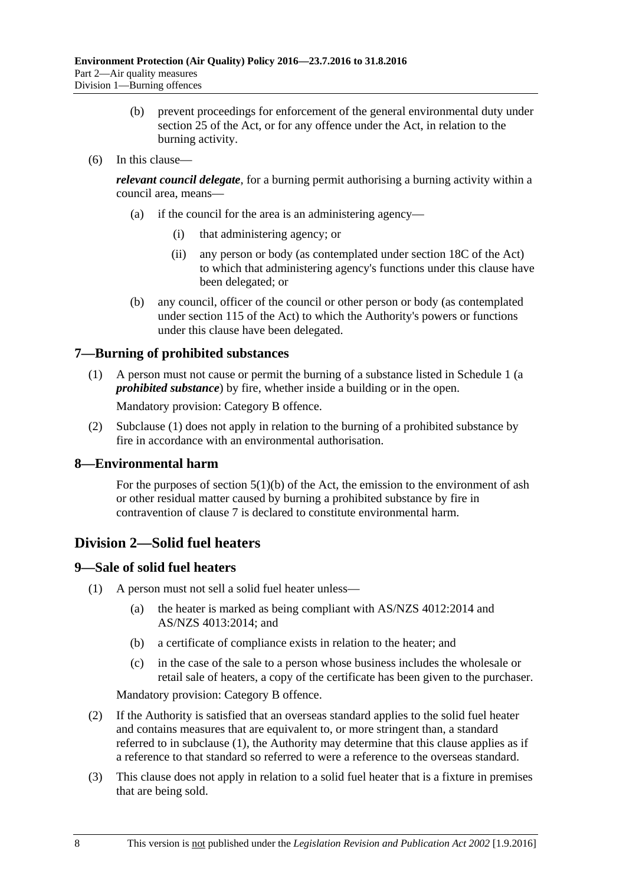- (b) prevent proceedings for enforcement of the general environmental duty under section 25 of the Act, or for any offence under the Act, in relation to the burning activity.
- (6) In this clause—

*relevant council delegate*, for a burning permit authorising a burning activity within a council area, means—

- (a) if the council for the area is an administering agency—
	- (i) that administering agency; or
	- (ii) any person or body (as contemplated under section 18C of the Act) to which that administering agency's functions under this clause have been delegated; or
- (b) any council, officer of the council or other person or body (as contemplated under section 115 of the Act) to which the Authority's powers or functions under this clause have been delegated.

## <span id="page-7-4"></span><span id="page-7-0"></span>**7—Burning of prohibited substances**

(1) A person must not cause or permit the burning of a substance listed in [Schedule](#page-13-0) 1 (a *prohibited substance*) by fire, whether inside a building or in the open.

Mandatory provision: Category B offence.

(2) [Subclause](#page-7-4) (1) does not apply in relation to the burning of a prohibited substance by fire in accordance with an environmental authorisation.

#### <span id="page-7-1"></span>**8—Environmental harm**

For the purposes of section  $5(1)(b)$  of the Act, the emission to the environment of ash or other residual matter caused by burning a prohibited substance by fire in contravention of [clause](#page-7-0) 7 is declared to constitute environmental harm.

## <span id="page-7-2"></span>**Division 2—Solid fuel heaters**

#### <span id="page-7-5"></span><span id="page-7-3"></span>**9—Sale of solid fuel heaters**

- <span id="page-7-6"></span>(1) A person must not sell a solid fuel heater unless—
	- (a) the heater is marked as being compliant with AS/NZS 4012:2014 and AS/NZS 4013:2014; and
	- (b) a certificate of compliance exists in relation to the heater; and
	- (c) in the case of the sale to a person whose business includes the wholesale or retail sale of heaters, a copy of the certificate has been given to the purchaser.

Mandatory provision: Category B offence.

- (2) If the Authority is satisfied that an overseas standard applies to the solid fuel heater and contains measures that are equivalent to, or more stringent than, a standard referred to in [subclause](#page-7-5) (1), the Authority may determine that this clause applies as if a reference to that standard so referred to were a reference to the overseas standard.
- (3) This clause does not apply in relation to a solid fuel heater that is a fixture in premises that are being sold.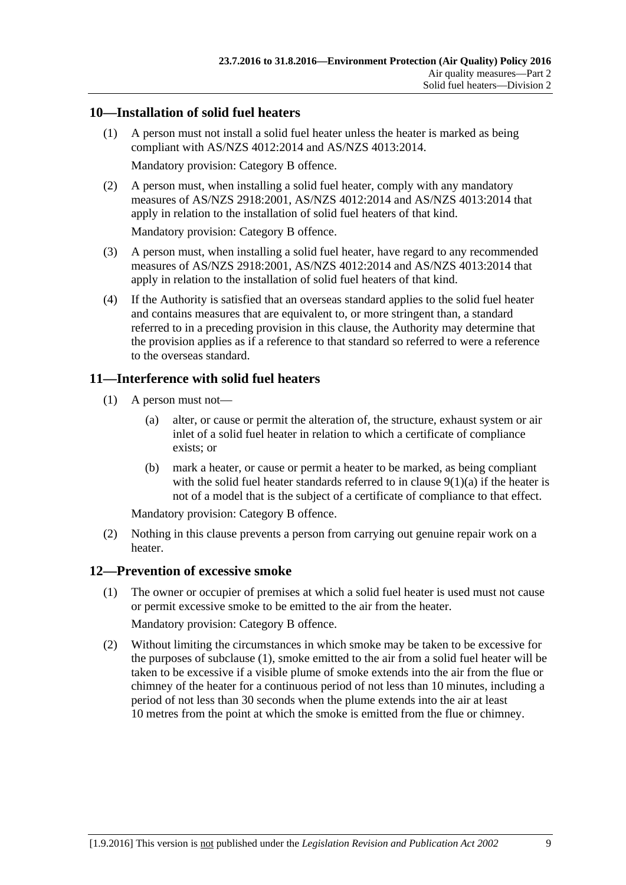#### <span id="page-8-0"></span>**10—Installation of solid fuel heaters**

(1) A person must not install a solid fuel heater unless the heater is marked as being compliant with AS/NZS 4012:2014 and AS/NZS 4013:2014.

Mandatory provision: Category B offence.

(2) A person must, when installing a solid fuel heater, comply with any mandatory measures of AS/NZS 2918:2001, AS/NZS 4012:2014 and AS/NZS 4013:2014 that apply in relation to the installation of solid fuel heaters of that kind.

Mandatory provision: Category B offence.

- (3) A person must, when installing a solid fuel heater, have regard to any recommended measures of AS/NZS 2918:2001, AS/NZS 4012:2014 and AS/NZS 4013:2014 that apply in relation to the installation of solid fuel heaters of that kind.
- (4) If the Authority is satisfied that an overseas standard applies to the solid fuel heater and contains measures that are equivalent to, or more stringent than, a standard referred to in a preceding provision in this clause, the Authority may determine that the provision applies as if a reference to that standard so referred to were a reference to the overseas standard.

## <span id="page-8-1"></span>**11—Interference with solid fuel heaters**

- (1) A person must not—
	- (a) alter, or cause or permit the alteration of, the structure, exhaust system or air inlet of a solid fuel heater in relation to which a certificate of compliance exists; or
	- (b) mark a heater, or cause or permit a heater to be marked, as being compliant with the solid fuel heater standards referred to in clause  $9(1)(a)$  if the heater is not of a model that is the subject of a certificate of compliance to that effect.

Mandatory provision: Category B offence.

(2) Nothing in this clause prevents a person from carrying out genuine repair work on a heater.

## <span id="page-8-3"></span><span id="page-8-2"></span>**12—Prevention of excessive smoke**

- (1) The owner or occupier of premises at which a solid fuel heater is used must not cause or permit excessive smoke to be emitted to the air from the heater. Mandatory provision: Category B offence.
- (2) Without limiting the circumstances in which smoke may be taken to be excessive for the purposes of [subclause](#page-8-3) (1), smoke emitted to the air from a solid fuel heater will be taken to be excessive if a visible plume of smoke extends into the air from the flue or chimney of the heater for a continuous period of not less than 10 minutes, including a period of not less than 30 seconds when the plume extends into the air at least 10 metres from the point at which the smoke is emitted from the flue or chimney.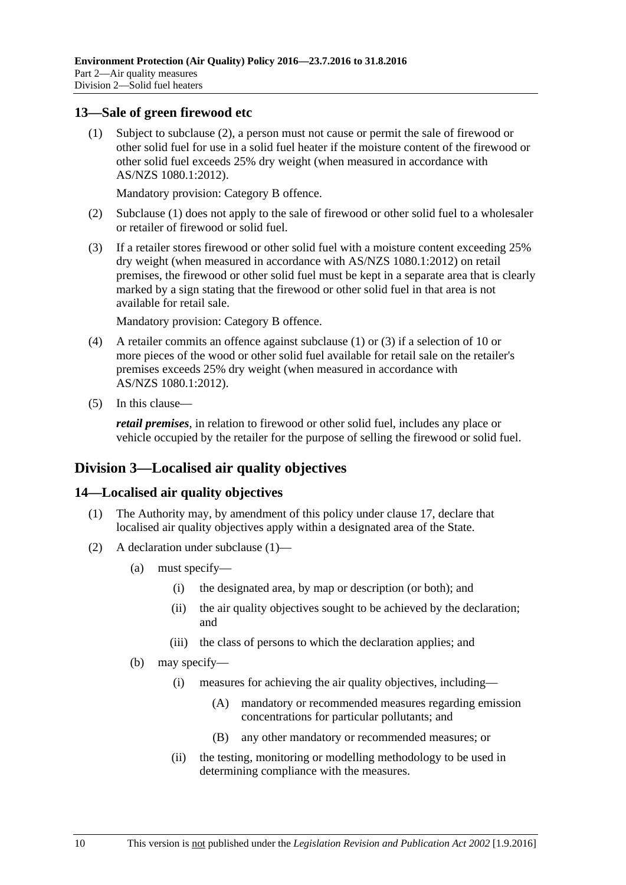#### <span id="page-9-4"></span><span id="page-9-0"></span>**13—Sale of green firewood etc**

(1) Subject to [subclause](#page-9-3) (2), a person must not cause or permit the sale of firewood or other solid fuel for use in a solid fuel heater if the moisture content of the firewood or other solid fuel exceeds 25% dry weight (when measured in accordance with AS/NZS 1080.1:2012).

Mandatory provision: Category B offence.

- <span id="page-9-3"></span>(2) [Subclause](#page-9-4) (1) does not apply to the sale of firewood or other solid fuel to a wholesaler or retailer of firewood or solid fuel.
- <span id="page-9-5"></span>(3) If a retailer stores firewood or other solid fuel with a moisture content exceeding 25% dry weight (when measured in accordance with AS/NZS 1080.1:2012) on retail premises, the firewood or other solid fuel must be kept in a separate area that is clearly marked by a sign stating that the firewood or other solid fuel in that area is not available for retail sale.

Mandatory provision: Category B offence.

- (4) A retailer commits an offence against [subclause](#page-9-4) (1) or [\(3\)](#page-9-5) if a selection of 10 or more pieces of the wood or other solid fuel available for retail sale on the retailer's premises exceeds 25% dry weight (when measured in accordance with AS/NZS 1080.1:2012).
- (5) In this clause—

*retail premises*, in relation to firewood or other solid fuel, includes any place or vehicle occupied by the retailer for the purpose of selling the firewood or solid fuel.

## <span id="page-9-1"></span>**Division 3—Localised air quality objectives**

#### <span id="page-9-6"></span><span id="page-9-2"></span>**14—Localised air quality objectives**

- (1) The Authority may, by amendment of this policy under [clause](#page-11-1) 17, declare that localised air quality objectives apply within a designated area of the State.
- (2) A declaration under [subclause](#page-9-6) (1)—
	- (a) must specify—
		- (i) the designated area, by map or description (or both); and
		- (ii) the air quality objectives sought to be achieved by the declaration; and
		- (iii) the class of persons to which the declaration applies; and
	- (b) may specify—
		- (i) measures for achieving the air quality objectives, including—
			- (A) mandatory or recommended measures regarding emission concentrations for particular pollutants; and
			- (B) any other mandatory or recommended measures; or
		- (ii) the testing, monitoring or modelling methodology to be used in determining compliance with the measures.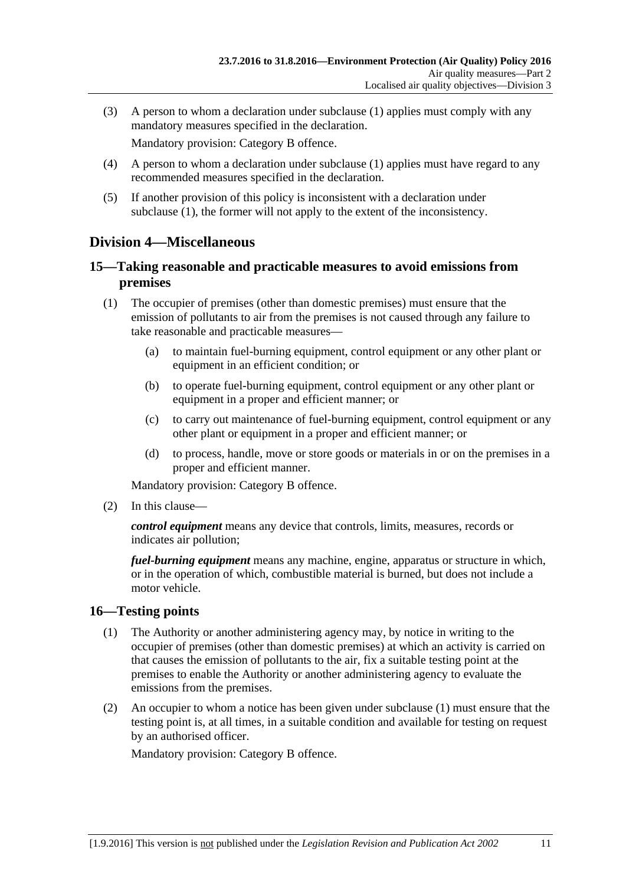(3) A person to whom a declaration under [subclause](#page-9-6) (1) applies must comply with any mandatory measures specified in the declaration.

Mandatory provision: Category B offence.

- (4) A person to whom a declaration under [subclause](#page-9-6) (1) applies must have regard to any recommended measures specified in the declaration.
- (5) If another provision of this policy is inconsistent with a declaration under [subclause](#page-9-6) (1), the former will not apply to the extent of the inconsistency.

## <span id="page-10-0"></span>**Division 4—Miscellaneous**

#### <span id="page-10-1"></span>**15—Taking reasonable and practicable measures to avoid emissions from premises**

- (1) The occupier of premises (other than domestic premises) must ensure that the emission of pollutants to air from the premises is not caused through any failure to take reasonable and practicable measures—
	- (a) to maintain fuel-burning equipment, control equipment or any other plant or equipment in an efficient condition; or
	- (b) to operate fuel-burning equipment, control equipment or any other plant or equipment in a proper and efficient manner; or
	- (c) to carry out maintenance of fuel-burning equipment, control equipment or any other plant or equipment in a proper and efficient manner; or
	- (d) to process, handle, move or store goods or materials in or on the premises in a proper and efficient manner.

Mandatory provision: Category B offence.

(2) In this clause—

*control equipment* means any device that controls, limits, measures, records or indicates air pollution;

*fuel-burning equipment* means any machine, engine, apparatus or structure in which, or in the operation of which, combustible material is burned, but does not include a motor vehicle.

#### <span id="page-10-3"></span><span id="page-10-2"></span>**16—Testing points**

- (1) The Authority or another administering agency may, by notice in writing to the occupier of premises (other than domestic premises) at which an activity is carried on that causes the emission of pollutants to the air, fix a suitable testing point at the premises to enable the Authority or another administering agency to evaluate the emissions from the premises.
- (2) An occupier to whom a notice has been given under [subclause](#page-10-3) (1) must ensure that the testing point is, at all times, in a suitable condition and available for testing on request by an authorised officer.

Mandatory provision: Category B offence.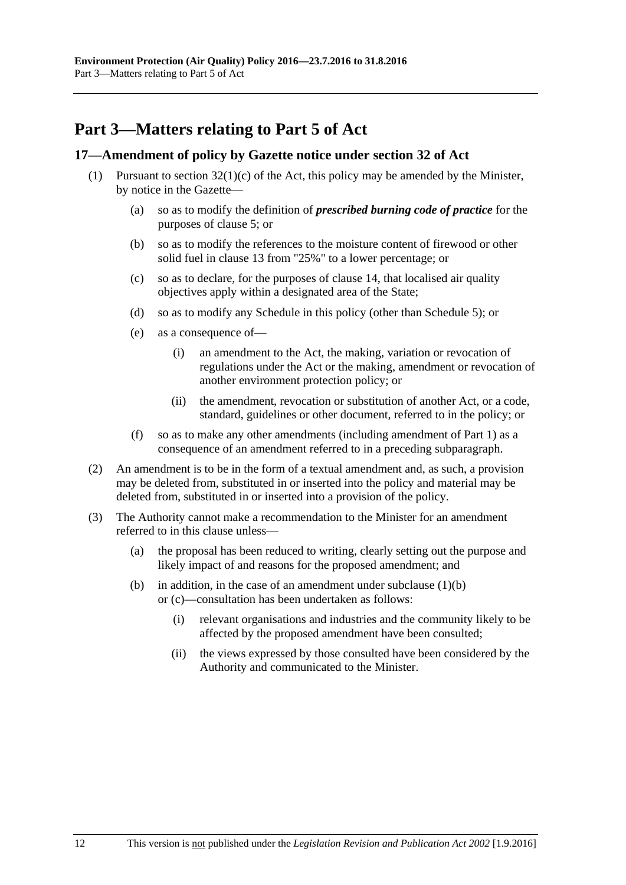# <span id="page-11-0"></span>**Part 3—Matters relating to Part 5 of Act**

#### <span id="page-11-1"></span>**17—Amendment of policy by Gazette notice under section 32 of Act**

- <span id="page-11-3"></span><span id="page-11-2"></span>(1) Pursuant to section  $32(1)(c)$  of the Act, this policy may be amended by the Minister, by notice in the Gazette—
	- (a) so as to modify the definition of *prescribed burning code of practice* for the purposes of [clause](#page-4-2) 5; or
	- (b) so as to modify the references to the moisture content of firewood or other solid fuel in [clause](#page-9-0) 13 from "25%" to a lower percentage; or
	- (c) so as to declare, for the purposes of [clause](#page-9-2) 14, that localised air quality objectives apply within a designated area of the State;
	- (d) so as to modify any Schedule in this policy (other than [Schedule](#page-22-0) 5); or
	- (e) as a consequence of—
		- (i) an amendment to the Act, the making, variation or revocation of regulations under the Act or the making, amendment or revocation of another environment protection policy; or
		- (ii) the amendment, revocation or substitution of another Act, or a code, standard, guidelines or other document, referred to in the policy; or
	- (f) so as to make any other amendments (including amendment of [Part](#page-1-0) 1) as a consequence of an amendment referred to in a preceding subparagraph.
- (2) An amendment is to be in the form of a textual amendment and, as such, a provision may be deleted from, substituted in or inserted into the policy and material may be deleted from, substituted in or inserted into a provision of the policy.
- (3) The Authority cannot make a recommendation to the Minister for an amendment referred to in this clause unless—
	- (a) the proposal has been reduced to writing, clearly setting out the purpose and likely impact of and reasons for the proposed amendment; and
	- (b) in addition, in the case of an amendment under [subclause](#page-11-2)  $(1)(b)$ or [\(c\)—](#page-11-3)consultation has been undertaken as follows:
		- (i) relevant organisations and industries and the community likely to be affected by the proposed amendment have been consulted;
		- (ii) the views expressed by those consulted have been considered by the Authority and communicated to the Minister.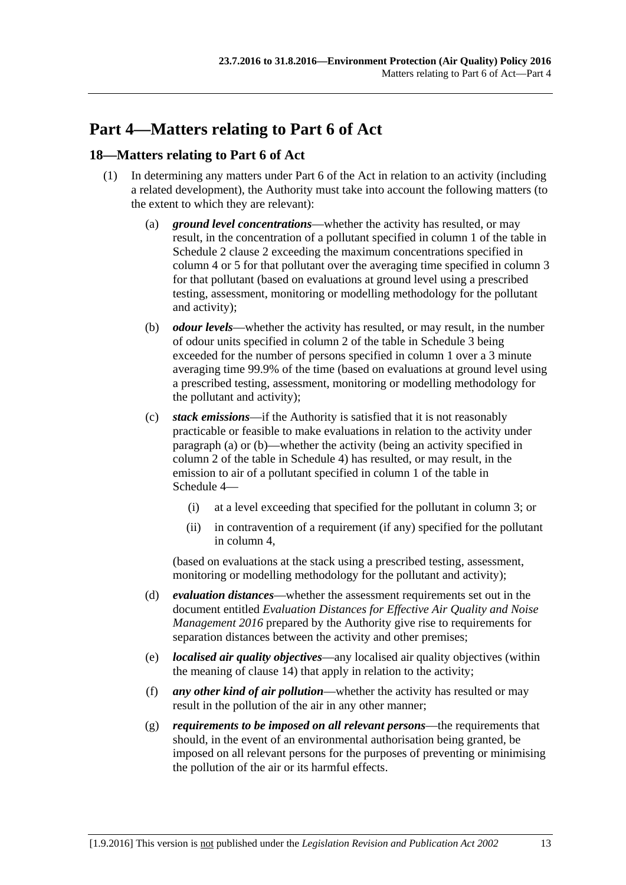# <span id="page-12-0"></span>**Part 4—Matters relating to Part 6 of Act**

#### <span id="page-12-1"></span>**18—Matters relating to Part 6 of Act**

- <span id="page-12-3"></span><span id="page-12-2"></span>(1) In determining any matters under Part 6 of the Act in relation to an activity (including a related development), the Authority must take into account the following matters (to the extent to which they are relevant):
	- (a) *ground level concentrations*—whether the activity has resulted, or may result, in the concentration of a pollutant specified in column 1 of the table in [Schedule](#page-13-3) 2 clause 2 exceeding the maximum concentrations specified in column 4 or 5 for that pollutant over the averaging time specified in column 3 for that pollutant (based on evaluations at ground level using a prescribed testing, assessment, monitoring or modelling methodology for the pollutant and activity);
	- (b) *odour levels*—whether the activity has resulted, or may result, in the number of odour units specified in column 2 of the table in [Schedule](#page-20-0) 3 being exceeded for the number of persons specified in column 1 over a 3 minute averaging time 99.9% of the time (based on evaluations at ground level using a prescribed testing, assessment, monitoring or modelling methodology for the pollutant and activity);
	- (c) *stack emissions*—if the Authority is satisfied that it is not reasonably practicable or feasible to make evaluations in relation to the activity under [paragraph](#page-12-2) (a) or [\(b\)—](#page-12-3)whether the activity (being an activity specified in column 2 of the table in [Schedule](#page-21-0) 4) has resulted, or may result, in the emission to air of a pollutant specified in column 1 of the table in [Schedule](#page-21-0) 4—
		- (i) at a level exceeding that specified for the pollutant in column 3; or
		- (ii) in contravention of a requirement (if any) specified for the pollutant in column 4,

<span id="page-12-4"></span>(based on evaluations at the stack using a prescribed testing, assessment, monitoring or modelling methodology for the pollutant and activity);

- (d) *evaluation distances*—whether the assessment requirements set out in the document entitled *Evaluation Distances for Effective Air Quality and Noise Management 2016* prepared by the Authority give rise to requirements for separation distances between the activity and other premises;
- (e) *localised air quality objectives*—any localised air quality objectives (within the meaning of [clause](#page-9-2) 14) that apply in relation to the activity;
- (f) *any other kind of air pollution*—whether the activity has resulted or may result in the pollution of the air in any other manner;
- (g) *requirements to be imposed on all relevant persons*—the requirements that should, in the event of an environmental authorisation being granted, be imposed on all relevant persons for the purposes of preventing or minimising the pollution of the air or its harmful effects.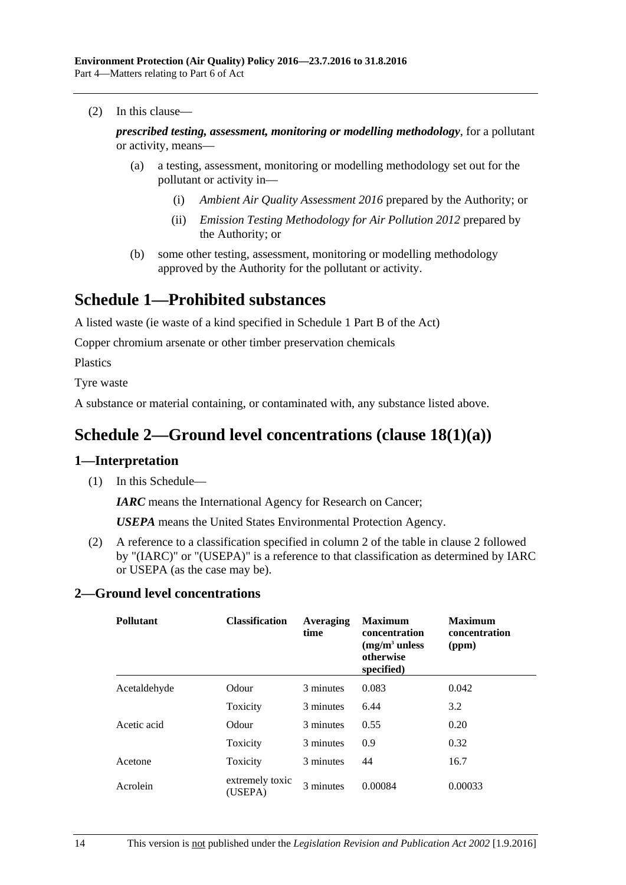(2) In this clause—

*prescribed testing, assessment, monitoring or modelling methodology*, for a pollutant or activity, means—

- (a) a testing, assessment, monitoring or modelling methodology set out for the pollutant or activity in—
	- (i) *Ambient Air Quality Assessment 2016* prepared by the Authority; or
	- (ii) *Emission Testing Methodology for Air Pollution 2012* prepared by the Authority; or
- (b) some other testing, assessment, monitoring or modelling methodology approved by the Authority for the pollutant or activity.

## <span id="page-13-0"></span>**Schedule 1—Prohibited substances**

A listed waste (ie waste of a kind specified in Schedule 1 Part B of the Act)

Copper chromium arsenate or other timber preservation chemicals

Plastics

Tyre waste

<span id="page-13-1"></span>A substance or material containing, or contaminated with, any substance listed above.

## **Schedule 2—Ground level concentrations (clause [18\(1\)\(a\)\)](#page-12-2)**

#### <span id="page-13-2"></span>**1—Interpretation**

(1) In this Schedule—

*IARC* means the International Agency for Research on Cancer;

*USEPA* means the United States Environmental Protection Agency.

(2) A reference to a classification specified in column 2 of the table in [clause](#page-13-3) 2 followed by "(IARC)" or "(USEPA)" is a reference to that classification as determined by IARC or USEPA (as the case may be).

#### <span id="page-13-3"></span>**2—Ground level concentrations**

| <b>Pollutant</b> | <b>Classification</b>      | Averaging<br>time | <b>Maximum</b><br>concentration<br>$(mg/m3$ unless<br>otherwise<br>specified) | <b>Maximum</b><br>concentration<br>(ppm) |
|------------------|----------------------------|-------------------|-------------------------------------------------------------------------------|------------------------------------------|
| Acetaldehyde     | Odour                      | 3 minutes         | 0.083                                                                         | 0.042                                    |
|                  | Toxicity                   | 3 minutes         | 6.44                                                                          | 3.2                                      |
| Acetic acid      | Odour                      | 3 minutes         | 0.55                                                                          | 0.20                                     |
|                  | Toxicity                   | 3 minutes         | 0.9                                                                           | 0.32                                     |
| Acetone          | Toxicity                   | 3 minutes         | 44                                                                            | 16.7                                     |
| Acrolein         | extremely toxic<br>(USEPA) | 3 minutes         | 0.00084                                                                       | 0.00033                                  |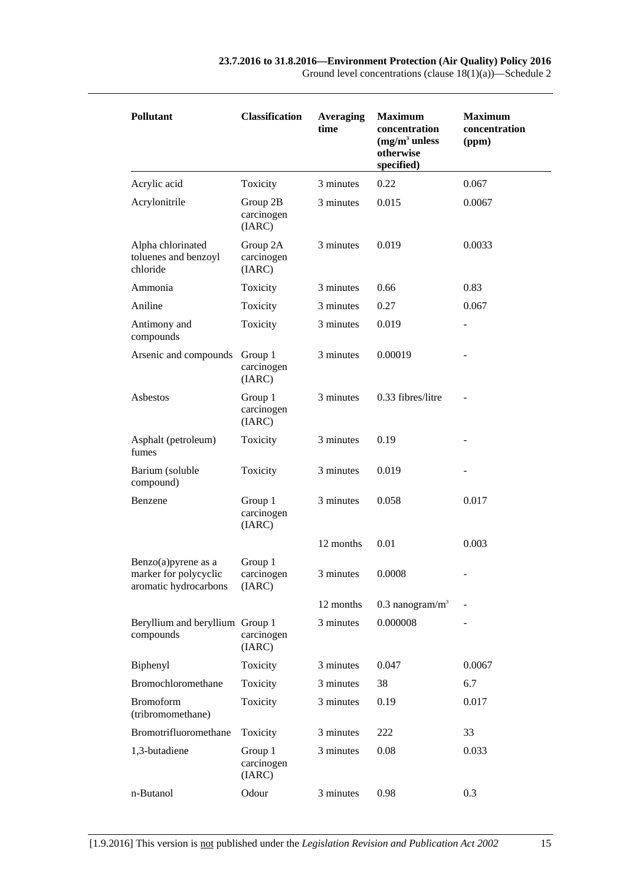| <b>Pollutant</b>                                                          | <b>Classification</b>            | <b>Averaging</b><br>time | <b>Maximum</b><br>concentration<br>$(mg/m3$ unless<br>otherwise<br>specified) | <b>Maximum</b><br>concentration<br>(ppm) |
|---------------------------------------------------------------------------|----------------------------------|--------------------------|-------------------------------------------------------------------------------|------------------------------------------|
| Acrylic acid                                                              | Toxicity                         | 3 minutes                | 0.22                                                                          | 0.067                                    |
| Acrylonitrile                                                             | Group 2B<br>carcinogen<br>(IARC) | 3 minutes                | 0.015                                                                         | 0.0067                                   |
| Alpha chlorinated<br>toluenes and benzoyl<br>chloride                     | Group 2A<br>carcinogen<br>(IARC) | 3 minutes                | 0.019                                                                         | 0.0033                                   |
| Ammonia                                                                   | Toxicity                         | 3 minutes                | 0.66                                                                          | 0.83                                     |
| Aniline                                                                   | Toxicity                         | 3 minutes                | 0.27                                                                          | 0.067                                    |
| Antimony and<br>compounds                                                 | Toxicity                         | 3 minutes                | 0.019                                                                         |                                          |
| Arsenic and compounds                                                     | Group 1<br>carcinogen<br>(IARC)  | 3 minutes                | 0.00019                                                                       |                                          |
| Asbestos                                                                  | Group 1<br>carcinogen<br>(IARC)  | 3 minutes                | 0.33 fibres/litre                                                             |                                          |
| Asphalt (petroleum)<br>fumes                                              | Toxicity                         | 3 minutes                | 0.19                                                                          |                                          |
| Barium (soluble<br>compound)                                              | Toxicity                         | 3 minutes                | 0.019                                                                         |                                          |
| Benzene                                                                   | Group 1<br>carcinogen<br>(IARC)  | 3 minutes                | 0.058                                                                         | 0.017                                    |
|                                                                           |                                  | 12 months                | 0.01                                                                          | 0.003                                    |
| Benzo $(a)$ pyrene as a<br>marker for polycyclic<br>aromatic hydrocarbons | Group 1<br>carcinogen<br>(IARC)  | 3 minutes                | 0.0008                                                                        |                                          |
|                                                                           |                                  | 12 months                | $0.3$ nanogram/m <sup>3</sup>                                                 |                                          |
| Beryllium and beryllium Group 1<br>compounds                              | carcinogen<br>(IARC)             | 3 minutes                | 0.000008                                                                      |                                          |
| Biphenyl                                                                  | Toxicity                         | 3 minutes                | 0.047                                                                         | 0.0067                                   |
| Bromochloromethane                                                        | Toxicity                         | 3 minutes                | 38                                                                            | 6.7                                      |
| <b>Bromoform</b><br>(tribromomethane)                                     | Toxicity                         | 3 minutes                | 0.19                                                                          | 0.017                                    |
| Bromotrifluoromethane                                                     | Toxicity                         | 3 minutes                | 222                                                                           | 33                                       |
| 1,3-butadiene                                                             | Group 1<br>carcinogen<br>(IARC)  | 3 minutes                | 0.08                                                                          | 0.033                                    |
| n-Butanol                                                                 | Odour                            | 3 minutes                | 0.98                                                                          | 0.3                                      |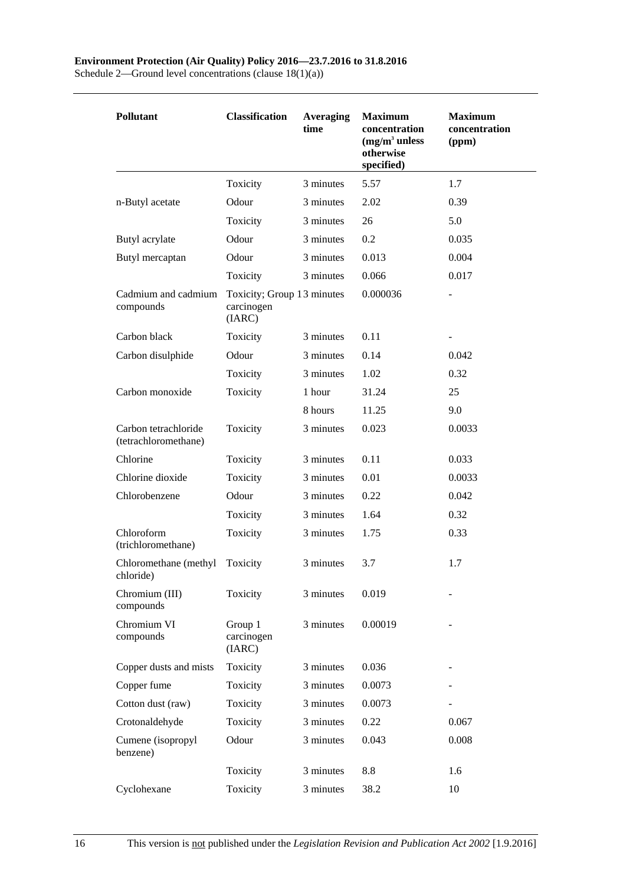#### **Environment Protection (Air Quality) Policy 2016—23.7.2016 to 31.8.2016**

| <b>Pollutant</b>                             | <b>Classification</b>                              | <b>Averaging</b><br>time | <b>Maximum</b><br>concentration<br>$(mg/m3$ unless<br>otherwise<br>specified) | <b>Maximum</b><br>concentration<br>(ppm) |
|----------------------------------------------|----------------------------------------------------|--------------------------|-------------------------------------------------------------------------------|------------------------------------------|
|                                              | Toxicity                                           | 3 minutes                | 5.57                                                                          | 1.7                                      |
| n-Butyl acetate                              | Odour                                              | 3 minutes                | 2.02                                                                          | 0.39                                     |
|                                              | Toxicity                                           | 3 minutes                | 26                                                                            | 5.0                                      |
| Butyl acrylate                               | Odour                                              | 3 minutes                | 0.2                                                                           | 0.035                                    |
| Butyl mercaptan                              | Odour                                              | 3 minutes                | 0.013                                                                         | 0.004                                    |
|                                              | Toxicity                                           | 3 minutes                | 0.066                                                                         | 0.017                                    |
| Cadmium and cadmium<br>compounds             | Toxicity; Group 13 minutes<br>carcinogen<br>(IARC) |                          | 0.000036                                                                      |                                          |
| Carbon black                                 | Toxicity                                           | 3 minutes                | 0.11                                                                          |                                          |
| Carbon disulphide                            | Odour                                              | 3 minutes                | 0.14                                                                          | 0.042                                    |
|                                              | Toxicity                                           | 3 minutes                | 1.02                                                                          | 0.32                                     |
| Carbon monoxide                              | Toxicity                                           | 1 hour                   | 31.24                                                                         | 25                                       |
|                                              |                                                    | 8 hours                  | 11.25                                                                         | 9.0                                      |
| Carbon tetrachloride<br>(tetrachloromethane) | Toxicity                                           | 3 minutes                | 0.023                                                                         | 0.0033                                   |
| Chlorine                                     | Toxicity                                           | 3 minutes                | 0.11                                                                          | 0.033                                    |
| Chlorine dioxide                             | Toxicity                                           | 3 minutes                | 0.01                                                                          | 0.0033                                   |
| Chlorobenzene                                | Odour                                              | 3 minutes                | 0.22                                                                          | 0.042                                    |
|                                              | Toxicity                                           | 3 minutes                | 1.64                                                                          | 0.32                                     |
| Chloroform<br>(trichloromethane)             | Toxicity                                           | 3 minutes                | 1.75                                                                          | 0.33                                     |
| Chloromethane (methyl<br>chloride)           | Toxicity                                           | 3 minutes                | 3.7                                                                           | 1.7                                      |
| Chromium (III)<br>compounds                  | Toxicity                                           | 3 minutes                | 0.019                                                                         |                                          |
| Chromium VI<br>compounds                     | Group 1<br>carcinogen<br>(IARC)                    | 3 minutes                | 0.00019                                                                       |                                          |
| Copper dusts and mists                       | Toxicity                                           | 3 minutes                | 0.036                                                                         |                                          |
| Copper fume                                  | Toxicity                                           | 3 minutes                | 0.0073                                                                        |                                          |
| Cotton dust (raw)                            | Toxicity                                           | 3 minutes                | 0.0073                                                                        |                                          |
| Crotonaldehyde                               | Toxicity                                           | 3 minutes                | 0.22                                                                          | 0.067                                    |
| Cumene (isopropyl<br>benzene)                | Odour                                              | 3 minutes                | 0.043                                                                         | 0.008                                    |
|                                              | Toxicity                                           | 3 minutes                | 8.8                                                                           | 1.6                                      |
| Cyclohexane                                  | Toxicity                                           | 3 minutes                | 38.2                                                                          | 10                                       |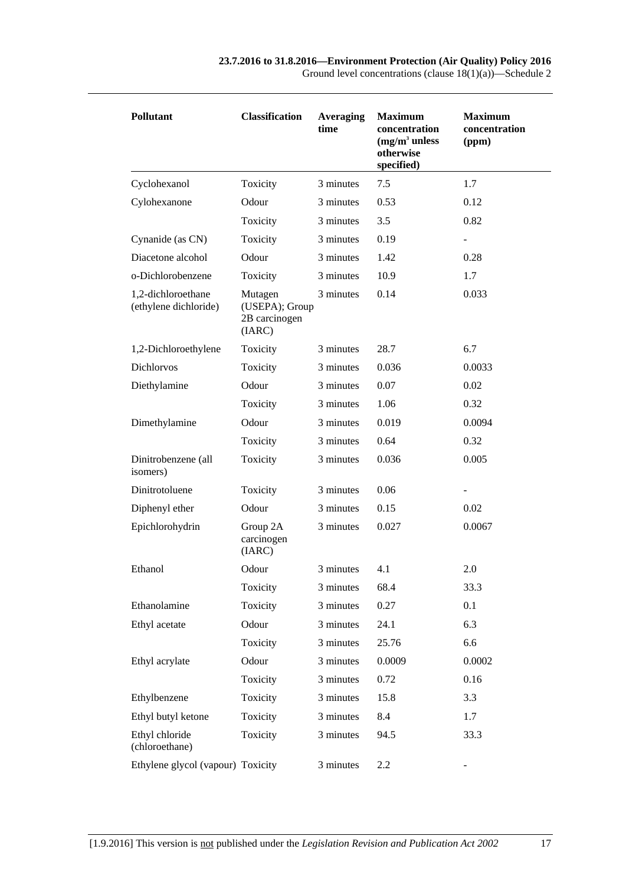| Pollutant                                   | <b>Classification</b>                                | Averaging<br>time | <b>Maximum</b><br>concentration<br>$(mg/m3$ unless<br>otherwise<br>specified) | <b>Maximum</b><br>concentration<br>(ppm) |
|---------------------------------------------|------------------------------------------------------|-------------------|-------------------------------------------------------------------------------|------------------------------------------|
| Cyclohexanol                                | Toxicity                                             | 3 minutes         | 7.5                                                                           | 1.7                                      |
| Cylohexanone                                | Odour                                                | 3 minutes         | 0.53                                                                          | 0.12                                     |
|                                             | Toxicity                                             | 3 minutes         | 3.5                                                                           | 0.82                                     |
| Cynanide (as CN)                            | Toxicity                                             | 3 minutes         | 0.19                                                                          | $\qquad \qquad \blacksquare$             |
| Diacetone alcohol                           | Odour                                                | 3 minutes         | 1.42                                                                          | 0.28                                     |
| o-Dichlorobenzene                           | Toxicity                                             | 3 minutes         | 10.9                                                                          | 1.7                                      |
| 1,2-dichloroethane<br>(ethylene dichloride) | Mutagen<br>(USEPA); Group<br>2B carcinogen<br>(IARC) | 3 minutes         | 0.14                                                                          | 0.033                                    |
| 1,2-Dichloroethylene                        | Toxicity                                             | 3 minutes         | 28.7                                                                          | 6.7                                      |
| <b>Dichlorvos</b>                           | Toxicity                                             | 3 minutes         | 0.036                                                                         | 0.0033                                   |
| Diethylamine                                | Odour                                                | 3 minutes         | 0.07                                                                          | 0.02                                     |
|                                             | Toxicity                                             | 3 minutes         | 1.06                                                                          | 0.32                                     |
| Dimethylamine                               | Odour                                                | 3 minutes         | 0.019                                                                         | 0.0094                                   |
|                                             | Toxicity                                             | 3 minutes         | 0.64                                                                          | 0.32                                     |
| Dinitrobenzene (all<br>isomers)             | Toxicity                                             | 3 minutes         | 0.036                                                                         | 0.005                                    |
| Dinitrotoluene                              | Toxicity                                             | 3 minutes         | 0.06                                                                          |                                          |
| Diphenyl ether                              | Odour                                                | 3 minutes         | 0.15                                                                          | 0.02                                     |
| Epichlorohydrin                             | Group 2A<br>carcinogen<br>(IARC)                     | 3 minutes         | 0.027                                                                         | 0.0067                                   |
| Ethanol                                     | Odour                                                | 3 minutes         | 4.1                                                                           | 2.0                                      |
|                                             | Toxicity                                             | 3 minutes         | 68.4                                                                          | 33.3                                     |
| Ethanolamine                                | Toxicity                                             | 3 minutes         | 0.27                                                                          | 0.1                                      |
| Ethyl acetate                               | Odour                                                | 3 minutes         | 24.1                                                                          | 6.3                                      |
|                                             | Toxicity                                             | 3 minutes         | 25.76                                                                         | 6.6                                      |
| Ethyl acrylate                              | Odour                                                | 3 minutes         | 0.0009                                                                        | 0.0002                                   |
|                                             | Toxicity                                             | 3 minutes         | 0.72                                                                          | 0.16                                     |
| Ethylbenzene                                | Toxicity                                             | 3 minutes         | 15.8                                                                          | 3.3                                      |
| Ethyl butyl ketone                          | Toxicity                                             | 3 minutes         | 8.4                                                                           | 1.7                                      |
| Ethyl chloride<br>(chloroethane)            | Toxicity                                             | 3 minutes         | 94.5                                                                          | 33.3                                     |
| Ethylene glycol (vapour) Toxicity           |                                                      | 3 minutes         | 2.2                                                                           |                                          |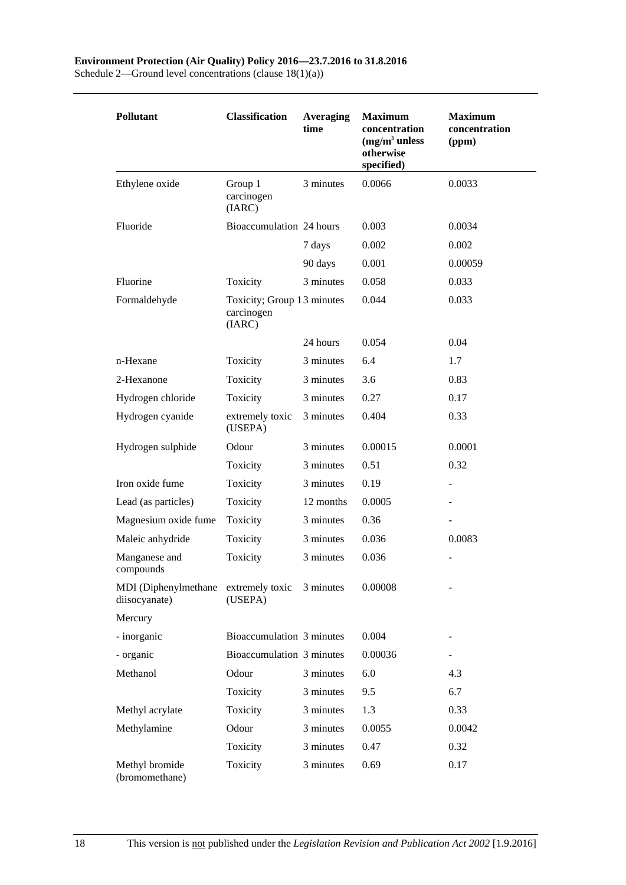| <b>Pollutant</b>                                      | <b>Classification</b>                              | <b>Averaging</b><br>time | <b>Maximum</b><br>concentration<br>$(mg/m3$ unless<br>otherwise<br>specified) | <b>Maximum</b><br>concentration<br>(ppm) |
|-------------------------------------------------------|----------------------------------------------------|--------------------------|-------------------------------------------------------------------------------|------------------------------------------|
| Ethylene oxide                                        | Group 1<br>carcinogen<br>(IARC)                    | 3 minutes                | 0.0066                                                                        | 0.0033                                   |
| Fluoride                                              | Bioaccumulation 24 hours                           |                          | 0.003                                                                         | 0.0034                                   |
|                                                       |                                                    | 7 days                   | 0.002                                                                         | 0.002                                    |
|                                                       |                                                    | 90 days                  | 0.001                                                                         | 0.00059                                  |
| Fluorine                                              | Toxicity                                           | 3 minutes                | 0.058                                                                         | 0.033                                    |
| Formaldehyde                                          | Toxicity; Group 13 minutes<br>carcinogen<br>(IARC) |                          | 0.044                                                                         | 0.033                                    |
|                                                       |                                                    | 24 hours                 | 0.054                                                                         | 0.04                                     |
| n-Hexane                                              | Toxicity                                           | 3 minutes                | 6.4                                                                           | 1.7                                      |
| 2-Hexanone                                            | Toxicity                                           | 3 minutes                | 3.6                                                                           | 0.83                                     |
| Hydrogen chloride                                     | Toxicity                                           | 3 minutes                | 0.27                                                                          | 0.17                                     |
| Hydrogen cyanide                                      | extremely toxic<br>(USEPA)                         | 3 minutes                | 0.404                                                                         | 0.33                                     |
| Hydrogen sulphide                                     | Odour                                              | 3 minutes                | 0.00015                                                                       | 0.0001                                   |
|                                                       | Toxicity                                           | 3 minutes                | 0.51                                                                          | 0.32                                     |
| Iron oxide fume                                       | Toxicity                                           | 3 minutes                | 0.19                                                                          |                                          |
| Lead (as particles)                                   | Toxicity                                           | 12 months                | 0.0005                                                                        |                                          |
| Magnesium oxide fume                                  | Toxicity                                           | 3 minutes                | 0.36                                                                          |                                          |
| Maleic anhydride                                      | Toxicity                                           | 3 minutes                | 0.036                                                                         | 0.0083                                   |
| Manganese and<br>compounds                            | Toxicity                                           | 3 minutes                | 0.036                                                                         |                                          |
| MDI (Diphenylmethane extremely toxic<br>diisocyanate) | (USEPA)                                            | 3 minutes                | 0.00008                                                                       |                                          |
| Mercury                                               |                                                    |                          |                                                                               |                                          |
| - inorganic                                           | Bioaccumulation 3 minutes                          |                          | 0.004                                                                         |                                          |
| - organic                                             | Bioaccumulation 3 minutes                          |                          | 0.00036                                                                       |                                          |
| Methanol                                              | Odour                                              | 3 minutes                | 6.0                                                                           | 4.3                                      |
|                                                       | Toxicity                                           | 3 minutes                | 9.5                                                                           | 6.7                                      |
| Methyl acrylate                                       | Toxicity                                           | 3 minutes                | 1.3                                                                           | 0.33                                     |
| Methylamine                                           | Odour                                              | 3 minutes                | 0.0055                                                                        | 0.0042                                   |
|                                                       | Toxicity                                           | 3 minutes                | 0.47                                                                          | 0.32                                     |
| Methyl bromide<br>(bromomethane)                      | Toxicity                                           | 3 minutes                | 0.69                                                                          | 0.17                                     |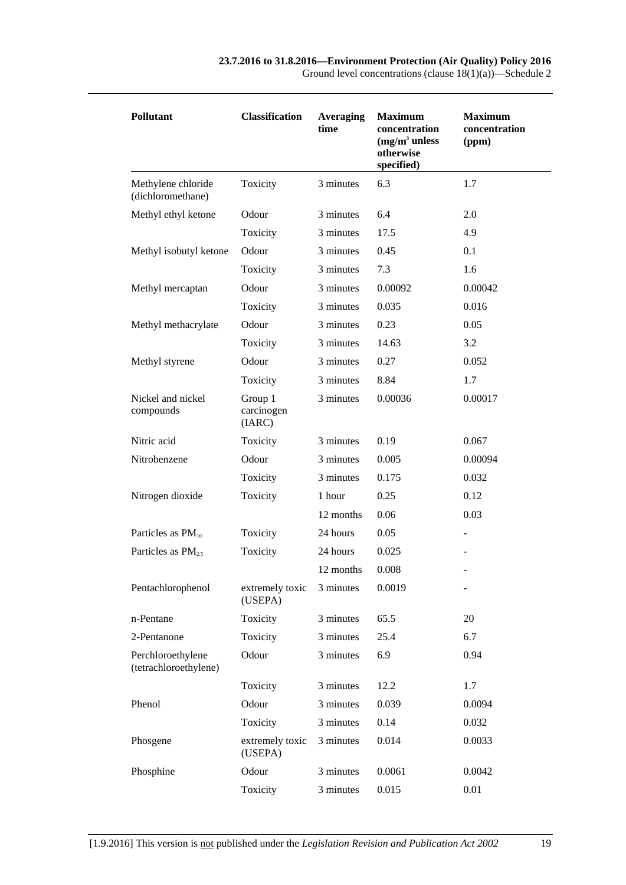| <b>Pollutant</b>                           | <b>Classification</b>           | <b>Averaging</b><br>time | <b>Maximum</b><br>concentration<br>$(mg/m3$ unless<br>otherwise<br>specified) | <b>Maximum</b><br>concentration<br>(ppm) |
|--------------------------------------------|---------------------------------|--------------------------|-------------------------------------------------------------------------------|------------------------------------------|
| Methylene chloride<br>(dichloromethane)    | Toxicity                        | 3 minutes                | 6.3                                                                           | 1.7                                      |
| Methyl ethyl ketone                        | Odour                           | 3 minutes                | 6.4                                                                           | 2.0                                      |
|                                            | Toxicity                        | 3 minutes                | 17.5                                                                          | 4.9                                      |
| Methyl isobutyl ketone                     | Odour                           | 3 minutes                | 0.45                                                                          | 0.1                                      |
|                                            | Toxicity                        | 3 minutes                | 7.3                                                                           | 1.6                                      |
| Methyl mercaptan                           | Odour                           | 3 minutes                | 0.00092                                                                       | 0.00042                                  |
|                                            | Toxicity                        | 3 minutes                | 0.035                                                                         | 0.016                                    |
| Methyl methacrylate                        | Odour                           | 3 minutes                | 0.23                                                                          | 0.05                                     |
|                                            | Toxicity                        | 3 minutes                | 14.63                                                                         | 3.2                                      |
| Methyl styrene                             | Odour                           | 3 minutes                | 0.27                                                                          | 0.052                                    |
|                                            | Toxicity                        | 3 minutes                | 8.84                                                                          | 1.7                                      |
| Nickel and nickel<br>compounds             | Group 1<br>carcinogen<br>(IARC) | 3 minutes                | 0.00036                                                                       | 0.00017                                  |
| Nitric acid                                | Toxicity                        | 3 minutes                | 0.19                                                                          | 0.067                                    |
| Nitrobenzene                               | Odour                           | 3 minutes                | 0.005                                                                         | 0.00094                                  |
|                                            | Toxicity                        | 3 minutes                | 0.175                                                                         | 0.032                                    |
| Nitrogen dioxide                           | Toxicity                        | 1 hour                   | 0.25                                                                          | 0.12                                     |
|                                            |                                 | 12 months                | 0.06                                                                          | 0.03                                     |
| Particles as $PM_{10}$                     | Toxicity                        | 24 hours                 | 0.05                                                                          |                                          |
| Particles as $PM_{2.5}$                    | Toxicity                        | 24 hours                 | 0.025                                                                         |                                          |
|                                            |                                 | 12 months                | 0.008                                                                         |                                          |
| Pentachlorophenol                          | extremely toxic<br>(USEPA)      | 3 minutes                | 0.0019                                                                        |                                          |
| n-Pentane                                  | Toxicity                        | 3 minutes                | 65.5                                                                          | 20                                       |
| 2-Pentanone                                | Toxicity                        | 3 minutes                | 25.4                                                                          | 6.7                                      |
| Perchloroethylene<br>(tetrachloroethylene) | Odour                           | 3 minutes                | 6.9                                                                           | 0.94                                     |
|                                            | Toxicity                        | 3 minutes                | 12.2                                                                          | 1.7                                      |
| Phenol                                     | Odour                           | 3 minutes                | 0.039                                                                         | 0.0094                                   |
|                                            | Toxicity                        | 3 minutes                | 0.14                                                                          | 0.032                                    |
| Phosgene                                   | extremely toxic<br>(USEPA)      | 3 minutes                | 0.014                                                                         | 0.0033                                   |
| Phosphine                                  | Odour                           | 3 minutes                | 0.0061                                                                        | 0.0042                                   |
|                                            | Toxicity                        | 3 minutes                | 0.015                                                                         | 0.01                                     |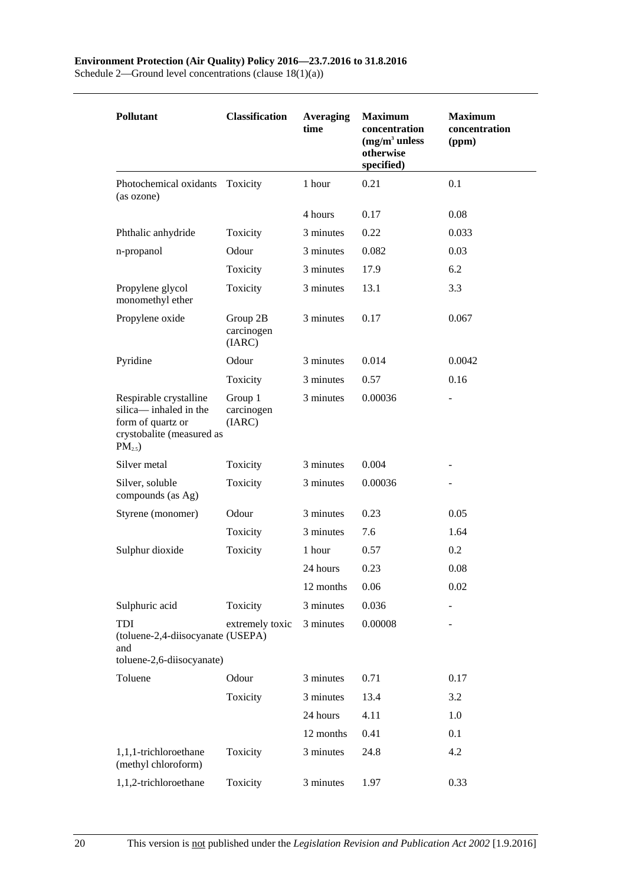| <b>Pollutant</b>                                                                                                       | <b>Classification</b>            | <b>Averaging</b><br>time | <b>Maximum</b><br>concentration<br>$(mg/m3$ unless<br>otherwise<br>specified) | <b>Maximum</b><br>concentration<br>(ppm) |
|------------------------------------------------------------------------------------------------------------------------|----------------------------------|--------------------------|-------------------------------------------------------------------------------|------------------------------------------|
| Photochemical oxidants<br>(as ozone)                                                                                   | Toxicity                         | 1 hour                   | 0.21                                                                          | 0.1                                      |
|                                                                                                                        |                                  | 4 hours                  | 0.17                                                                          | 0.08                                     |
| Phthalic anhydride                                                                                                     | Toxicity                         | 3 minutes                | 0.22                                                                          | 0.033                                    |
| n-propanol                                                                                                             | Odour                            | 3 minutes                | 0.082                                                                         | 0.03                                     |
|                                                                                                                        | Toxicity                         | 3 minutes                | 17.9                                                                          | 6.2                                      |
| Propylene glycol<br>monomethyl ether                                                                                   | Toxicity                         | 3 minutes                | 13.1                                                                          | 3.3                                      |
| Propylene oxide                                                                                                        | Group 2B<br>carcinogen<br>(IARC) | 3 minutes                | 0.17                                                                          | 0.067                                    |
| Pyridine                                                                                                               | Odour                            | 3 minutes                | 0.014                                                                         | 0.0042                                   |
|                                                                                                                        | Toxicity                         | 3 minutes                | 0.57                                                                          | 0.16                                     |
| Respirable crystalline<br>silica-inhaled in the<br>form of quartz or<br>crystobalite (measured as<br>PM <sub>2.5</sub> | Group 1<br>carcinogen<br>(IARC)  | 3 minutes                | 0.00036                                                                       |                                          |
| Silver metal                                                                                                           | Toxicity                         | 3 minutes                | 0.004                                                                         |                                          |
| Silver, soluble<br>compounds (as Ag)                                                                                   | Toxicity                         | 3 minutes                | 0.00036                                                                       |                                          |
| Styrene (monomer)                                                                                                      | Odour                            | 3 minutes                | 0.23                                                                          | 0.05                                     |
|                                                                                                                        | Toxicity                         | 3 minutes                | 7.6                                                                           | 1.64                                     |
| Sulphur dioxide                                                                                                        | Toxicity                         | 1 hour                   | 0.57                                                                          | 0.2                                      |
|                                                                                                                        |                                  | 24 hours                 | 0.23                                                                          | 0.08                                     |
|                                                                                                                        |                                  | 12 months                | 0.06                                                                          | 0.02                                     |
| Sulphuric acid                                                                                                         | Toxicity                         | 3 minutes                | 0.036                                                                         |                                          |
| TDI<br>(toluene-2,4-diisocyanate (USEPA)<br>and                                                                        | extremely toxic                  | 3 minutes                | 0.00008                                                                       |                                          |
| toluene-2,6-diisocyanate)                                                                                              |                                  |                          |                                                                               |                                          |
| Toluene                                                                                                                | Odour                            | 3 minutes                | 0.71                                                                          | 0.17                                     |
|                                                                                                                        | Toxicity                         | 3 minutes                | 13.4                                                                          | 3.2                                      |
|                                                                                                                        |                                  | 24 hours                 | 4.11                                                                          | 1.0                                      |
|                                                                                                                        |                                  | 12 months                | 0.41                                                                          | 0.1                                      |
| 1,1,1-trichloroethane<br>(methyl chloroform)                                                                           | Toxicity                         | 3 minutes                | 24.8                                                                          | 4.2                                      |
| 1,1,2-trichloroethane                                                                                                  | Toxicity                         | 3 minutes                | 1.97                                                                          | 0.33                                     |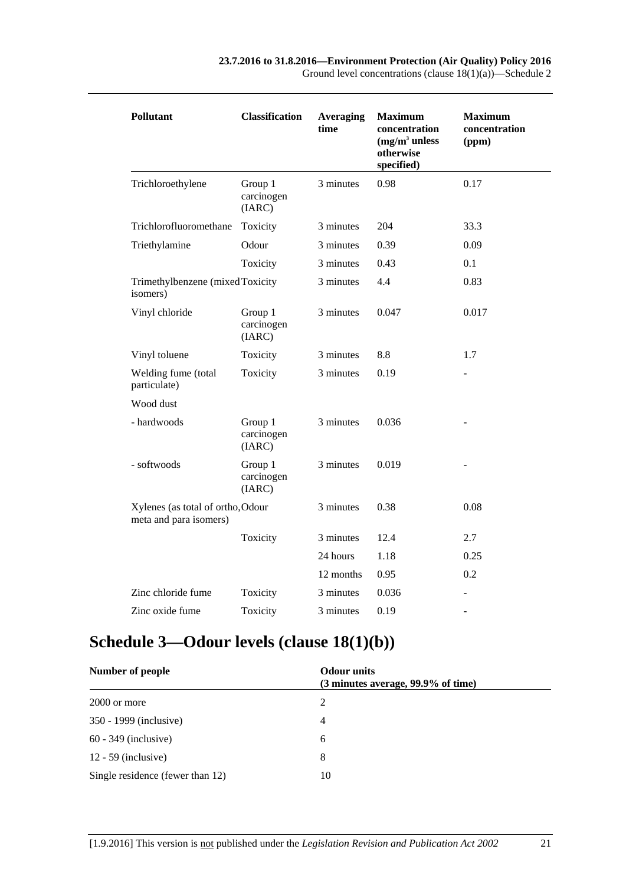| <b>Pollutant</b>                                            | <b>Classification</b>           | <b>Averaging</b><br>time | <b>Maximum</b><br>concentration<br>$(mg/m3$ unless<br>otherwise<br>specified) | <b>Maximum</b><br>concentration<br>(ppm) |
|-------------------------------------------------------------|---------------------------------|--------------------------|-------------------------------------------------------------------------------|------------------------------------------|
| Trichloroethylene                                           | Group 1<br>carcinogen<br>(IARC) | 3 minutes                | 0.98                                                                          | 0.17                                     |
| Trichlorofluoromethane                                      | Toxicity                        | 3 minutes                | 204                                                                           | 33.3                                     |
| Triethylamine                                               | Odour                           | 3 minutes                | 0.39                                                                          | 0.09                                     |
|                                                             | Toxicity                        | 3 minutes                | 0.43                                                                          | 0.1                                      |
| Trimethylbenzene (mixed Toxicity<br>isomers)                |                                 | 3 minutes                | 4.4                                                                           | 0.83                                     |
| Vinyl chloride                                              | Group 1<br>carcinogen<br>(IARC) | 3 minutes                | 0.047                                                                         | 0.017                                    |
| Vinyl toluene                                               | Toxicity                        | 3 minutes                | 8.8                                                                           | 1.7                                      |
| Welding fume (total<br>particulate)                         | Toxicity                        | 3 minutes                | 0.19                                                                          |                                          |
| Wood dust                                                   |                                 |                          |                                                                               |                                          |
| - hardwoods                                                 | Group 1<br>carcinogen<br>(IARC) | 3 minutes                | 0.036                                                                         |                                          |
| - softwoods                                                 | Group 1<br>carcinogen<br>(IARC) | 3 minutes                | 0.019                                                                         |                                          |
| Xylenes (as total of ortho, Odour<br>meta and para isomers) |                                 | 3 minutes                | 0.38                                                                          | 0.08                                     |
|                                                             | Toxicity                        | 3 minutes                | 12.4                                                                          | 2.7                                      |
|                                                             |                                 | 24 hours                 | 1.18                                                                          | 0.25                                     |
|                                                             |                                 | 12 months                | 0.95                                                                          | 0.2                                      |
| Zinc chloride fume                                          | Toxicity                        | 3 minutes                | 0.036                                                                         |                                          |
| Zinc oxide fume                                             | Toxicity                        | 3 minutes                | 0.19                                                                          | $\overline{\phantom{a}}$                 |

# <span id="page-20-0"></span>**Schedule 3—Odour levels (clause [18\(1\)\(b\)\)](#page-12-3)**

| Number of people                 | <b>Odour</b> units<br>(3 minutes average, 99.9% of time) |  |
|----------------------------------|----------------------------------------------------------|--|
| 2000 or more                     | 2                                                        |  |
| 350 - 1999 (inclusive)           | 4                                                        |  |
| $60 - 349$ (inclusive)           | 6                                                        |  |
| $12 - 59$ (inclusive)            | 8                                                        |  |
| Single residence (fewer than 12) | 10                                                       |  |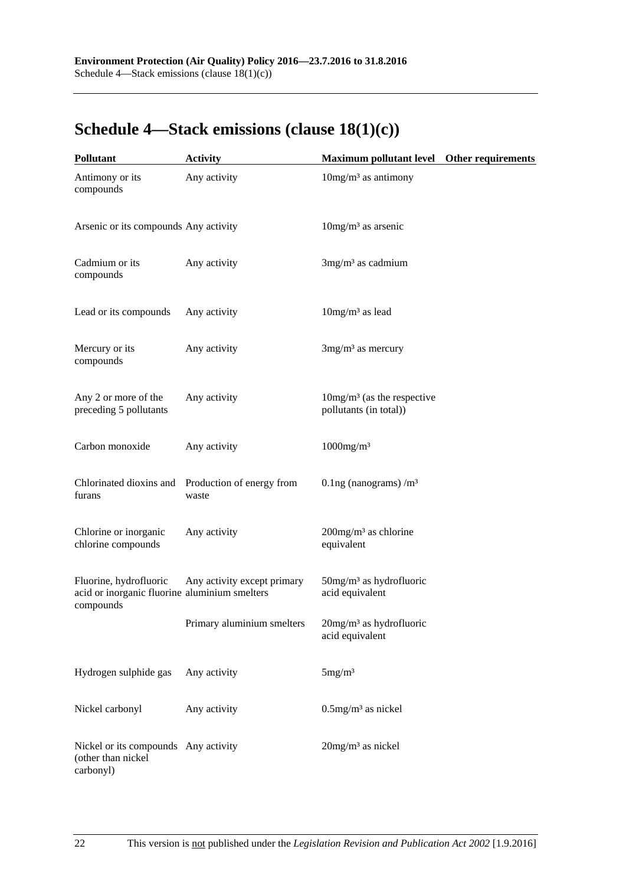# <span id="page-21-0"></span>**Schedule 4—Stack emissions (clause [18\(1\)\(c\)\)](#page-12-4)**

| <b>Pollutant</b>                                                                     | <b>Activity</b>                                            | Maximum pollutant level Other requirements                |  |
|--------------------------------------------------------------------------------------|------------------------------------------------------------|-----------------------------------------------------------|--|
| Antimony or its<br>compounds                                                         | Any activity                                               | $10$ mg/m <sup>3</sup> as antimony                        |  |
| Arsenic or its compounds Any activity                                                |                                                            | $10$ mg/m <sup>3</sup> as arsenic                         |  |
| Cadmium or its<br>compounds                                                          | Any activity                                               | $3mg/m3$ as cadmium                                       |  |
| Lead or its compounds                                                                | Any activity                                               | $10mg/m3$ as lead                                         |  |
| Mercury or its<br>compounds                                                          | Any activity                                               | $3mg/m3$ as mercury                                       |  |
| Any 2 or more of the<br>preceding 5 pollutants                                       | Any activity                                               | $10mg/m3$ (as the respective<br>pollutants (in total))    |  |
| Carbon monoxide                                                                      | Any activity                                               | $1000$ mg/m <sup>3</sup>                                  |  |
| furans                                                                               | Chlorinated dioxins and Production of energy from<br>waste | 0.1ng (nanograms) $/m3$                                   |  |
| Chlorine or inorganic<br>chlorine compounds                                          | Any activity                                               | 200mg/m <sup>3</sup> as chlorine<br>equivalent            |  |
| Fluorine, hydrofluoric<br>acid or inorganic fluorine aluminium smelters<br>compounds | Any activity except primary                                | $50$ mg/m <sup>3</sup> as hydrofluoric<br>acid equivalent |  |
|                                                                                      | Primary aluminium smelters                                 | 20mg/m <sup>3</sup> as hydrofluoric<br>acid equivalent    |  |
| Hydrogen sulphide gas                                                                | Any activity                                               | 5mg/m <sup>3</sup>                                        |  |
| Nickel carbonyl                                                                      | Any activity                                               | $0.5$ mg/m <sup>3</sup> as nickel                         |  |
| Nickel or its compounds Any activity<br>(other than nickel<br>carbonyl)              |                                                            | $20$ mg/m <sup>3</sup> as nickel                          |  |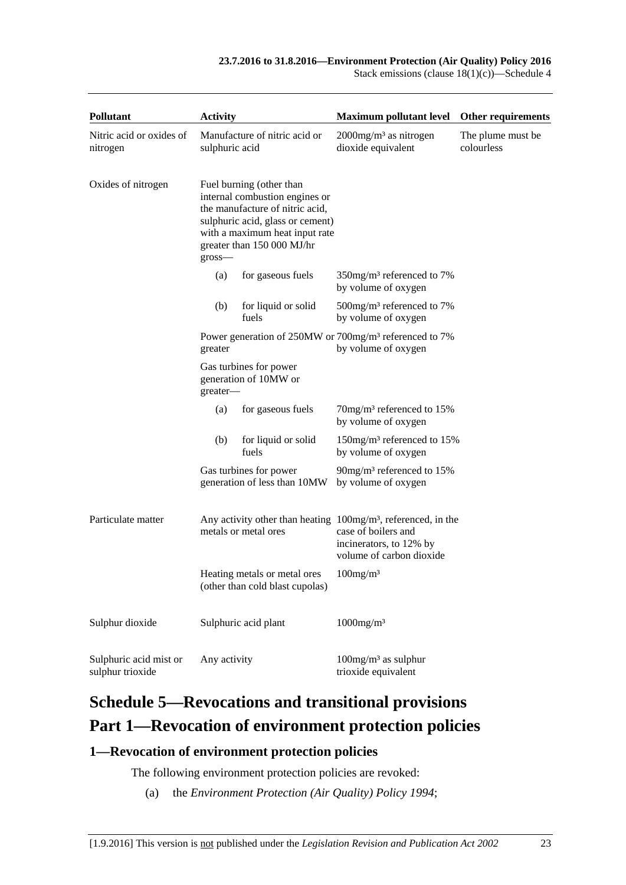Stack emissions (clause  $18(1)(c)$ )—Schedule 4

| <b>Pollutant</b>                           | <b>Activity</b> |                                                                                                                                                                                                   | <b>Maximum pollutant level</b>                                                                                                                 | Other requirements               |
|--------------------------------------------|-----------------|---------------------------------------------------------------------------------------------------------------------------------------------------------------------------------------------------|------------------------------------------------------------------------------------------------------------------------------------------------|----------------------------------|
| Nitric acid or oxides of<br>nitrogen       | sulphuric acid  | Manufacture of nitric acid or                                                                                                                                                                     | $2000$ mg/m <sup>3</sup> as nitrogen<br>dioxide equivalent                                                                                     | The plume must be.<br>colourless |
| Oxides of nitrogen                         | $gross-$        | Fuel burning (other than<br>internal combustion engines or<br>the manufacture of nitric acid,<br>sulphuric acid, glass or cement)<br>with a maximum heat input rate<br>greater than 150 000 MJ/hr |                                                                                                                                                |                                  |
|                                            | (a)             | for gaseous fuels                                                                                                                                                                                 | 350mg/m <sup>3</sup> referenced to 7%<br>by volume of oxygen                                                                                   |                                  |
|                                            | (b)             | for liquid or solid<br>fuels                                                                                                                                                                      | $500$ mg/m <sup>3</sup> referenced to 7%<br>by volume of oxygen                                                                                |                                  |
|                                            | greater         |                                                                                                                                                                                                   | Power generation of 250MW or 700mg/m <sup>3</sup> referenced to 7%<br>by volume of oxygen                                                      |                                  |
|                                            | greater-        | Gas turbines for power<br>generation of 10MW or                                                                                                                                                   |                                                                                                                                                |                                  |
|                                            | (a)             | for gaseous fuels                                                                                                                                                                                 | 70mg/m <sup>3</sup> referenced to 15%<br>by volume of oxygen                                                                                   |                                  |
|                                            | (b)             | for liquid or solid<br>fuels                                                                                                                                                                      | 150mg/m <sup>3</sup> referenced to 15%<br>by volume of oxygen                                                                                  |                                  |
|                                            |                 | Gas turbines for power<br>generation of less than 10MW                                                                                                                                            | 90mg/m <sup>3</sup> referenced to 15%<br>by volume of oxygen                                                                                   |                                  |
| Particulate matter                         |                 | metals or metal ores                                                                                                                                                                              | Any activity other than heating $100mg/m^3$ , referenced, in the<br>case of boilers and<br>incinerators, to 12% by<br>volume of carbon dioxide |                                  |
|                                            |                 | Heating metals or metal ores<br>(other than cold blast cupolas)                                                                                                                                   | $100$ mg/m <sup>3</sup>                                                                                                                        |                                  |
| Sulphur dioxide                            |                 | Sulphuric acid plant                                                                                                                                                                              | $1000$ mg/m <sup>3</sup>                                                                                                                       |                                  |
| Sulphuric acid mist or<br>sulphur trioxide | Any activity    |                                                                                                                                                                                                   | $100$ mg/m <sup>3</sup> as sulphur<br>trioxide equivalent                                                                                      |                                  |

# <span id="page-22-0"></span>**Schedule 5—Revocations and transitional provisions Part 1—Revocation of environment protection policies**

### <span id="page-22-1"></span>**1—Revocation of environment protection policies**

The following environment protection policies are revoked:

(a) the *[Environment Protection \(Air Quality\)](http://www.legislation.sa.gov.au/index.aspx?action=legref&type=subordleg&legtitle=Environment%20Protection%20(Air%20Quality)%20Policy%201994) Policy 1994*;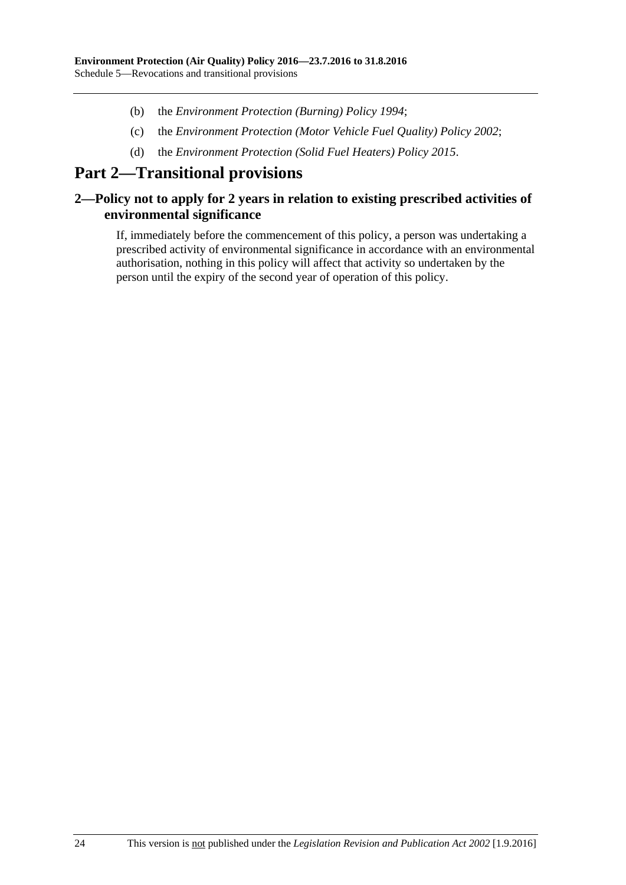- (b) the *[Environment Protection \(Burning\) Policy](http://www.legislation.sa.gov.au/index.aspx?action=legref&type=act&legtitle=Environment%20Protection%20(Burning)%20Policy%201994) 1994*;
- (c) the *[Environment Protection \(Motor Vehicle Fuel Quality\) Policy](http://www.legislation.sa.gov.au/index.aspx?action=legref&type=act&legtitle=Environment%20Protection%20(Motor%20Vehicle%20Fuel%20Quality)%20Policy%202002) 2002*;
- (d) the *[Environment Protection \(Solid Fuel Heaters\) Policy](http://www.legislation.sa.gov.au/index.aspx?action=legref&type=subordleg&legtitle=Environment%20Protection%20(Solid%20Fuel%20Heaters)%20Policy%202015) 2015*.

# **Part 2—Transitional provisions**

### <span id="page-23-0"></span>**2—Policy not to apply for 2 years in relation to existing prescribed activities of environmental significance**

If, immediately before the commencement of this policy, a person was undertaking a prescribed activity of environmental significance in accordance with an environmental authorisation, nothing in this policy will affect that activity so undertaken by the person until the expiry of the second year of operation of this policy.